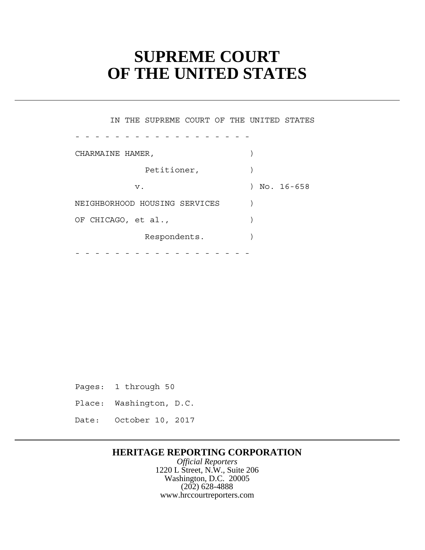# **SUPREME COURT OF THE UNITED STATES**

 Petitioner, ) NEIGHBORHOOD HOUSING SERVICES ) - - - - - - - - - - - - - - - - - - - - - - - - - - - - - - - - - - - - IN THE SUPREME COURT OF THE UNITED STATES CHARMAINE HAMER, v. ) No. 16-658 OF CHICAGO, et al., (a) Respondents.

Pages: 1 through 50

- Place: Washington, D.C.
- Date: October 10, 2017

# **HERITAGE REPORTING CORPORATION**

*Official Reporters* 1220 L Street, N.W., Suite 206 Washington, D.C. 20005 (202) 628-4888 www.hrccourtreporters.com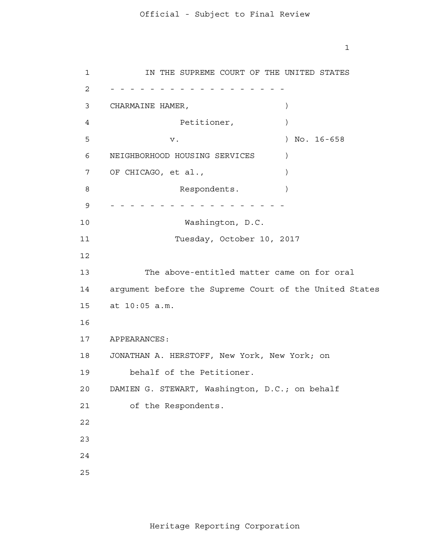CHARMAINE HAMER, ) OF CHICAGO, et al., ) argument before the Supreme Court of the United States at 10:05 a.m. APPEARANCES: JONATHAN A. HERSTOFF, New York, New York; on 2 - - - - - - - - - - - - - - - - - - 9 - - - - - - - - - - - - - - - - - - IN THE SUPREME COURT OF THE UNITED STATES Petitioner,  $)$ v. ) No. 16-658 NEIGHBORHOOD HOUSING SERVICES ) Respondents. Washington, D.C. Tuesday, October 10, 2017 The above-entitled matter came on for oral behalf of the Petitioner. DAMIEN G. STEWART, Washington, D.C.; on behalf of the Respondents.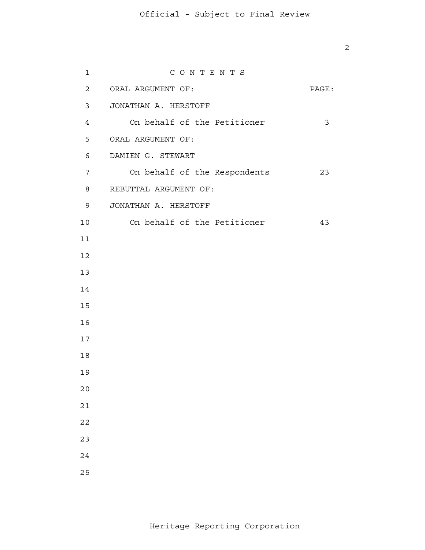ORAL ARGUMENT OF: PAGE: JONATHAN A. HERSTOFF ORAL ARGUMENT OF: DAMIEN G. STEWART REBUTTAL ARGUMENT OF: JONATHAN A. HERSTOFF C O N T E N T S On behalf of the Petitioner 3 On behalf of the Respondents 23 On behalf of the Petitioner 43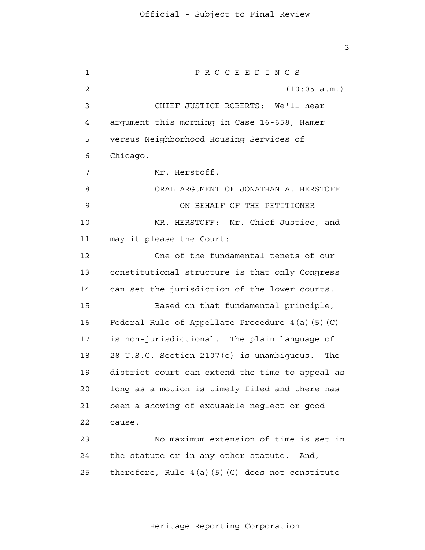1 2 3 4 **5**  6 7 8 9 10 11 12 13 14 15 16 17 18 19 20 21 22 23 24 25 3 P R O C E E D I N G S (10:05 a.m.) CHIEF JUSTICE ROBERTS: We'll hear argument this morning in Case 16-658, Hamer versus Neighborhood Housing Services of Chicago. Mr. Herstoff. ORAL ARGUMENT OF JONATHAN A. HERSTOFF ON BEHALF OF THE PETITIONER MR. HERSTOFF: Mr. Chief Justice, and may it please the Court: One of the fundamental tenets of our constitutional structure is that only Congress can set the jurisdiction of the lower courts. Based on that fundamental principle, Federal Rule of Appellate Procedure 4(a)(5)(C) is non-jurisdictional. The plain language of 28 U.S.C. Section 2107(c) is unambiguous. The district court can extend the time to appeal as long as a motion is timely filed and there has been a showing of excusable neglect or good cause. No maximum extension of time is set in the statute or in any other statute. And, therefore, Rule  $4(a)(5)(C)$  does not constitute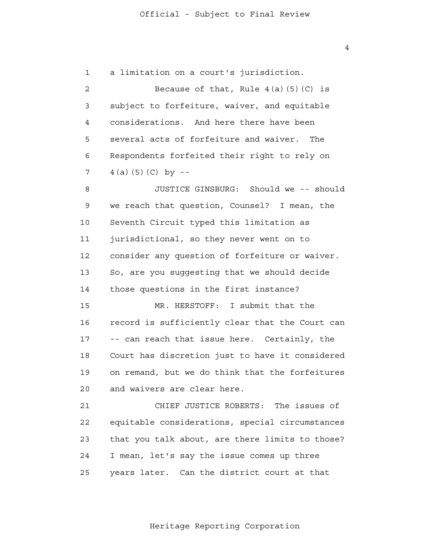1 a limitation on a court's jurisdiction.

 2 3 4 **5**  6 7 Because of that, Rule  $4(a)(5)(C)$  is subject to forfeiture, waiver, and equitable considerations. And here there have been several acts of forfeiture and waiver. The Respondents forfeited their right to rely on  $4(a)(5)(C)$  by  $-$ 

 8 9 10 11 12 13 14 JUSTICE GINSBURG: Should we -- should we reach that question, Counsel? I mean, the Seventh Circuit typed this limitation as jurisdictional, so they never went on to consider any question of forfeiture or waiver. So, are you suggesting that we should decide those questions in the first instance?

 15 16 17 18 19  $2.0$ MR. HERSTOFF: I submit that the record is sufficiently clear that the Court can -- can reach that issue here. Certainly, the Court has discretion just to have it considered on remand, but we do think that the forfeitures and waivers are clear here.

> 21 22 23 24 25 CHIEF JUSTICE ROBERTS: The issues of equitable considerations, special circumstances that you talk about, are there limits to those? I mean, let's say the issue comes up three years later. Can the district court at that

> > Heritage Reporting Corporation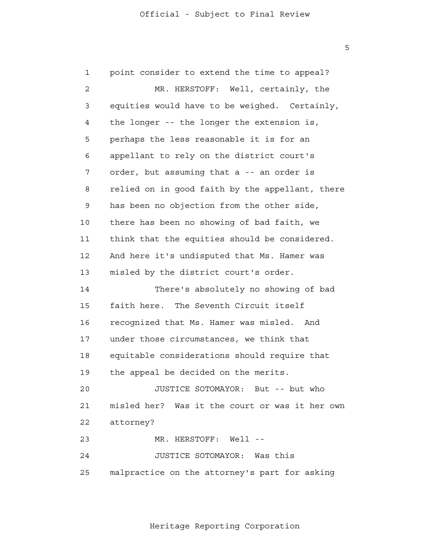1 2 3 4 **5**  6 7 8 9 10 11 12 13 14 15 16 17 18 19  $2.0$  21 22 23 24 25 point consider to extend the time to appeal? MR. HERSTOFF: Well, certainly, the equities would have to be weighed. Certainly, the longer -- the longer the extension is, perhaps the less reasonable it is for an appellant to rely on the district court's order, but assuming that a -- an order is relied on in good faith by the appellant, there has been no objection from the other side, there has been no showing of bad faith, we think that the equities should be considered. And here it's undisputed that Ms. Hamer was misled by the district court's order. There's absolutely no showing of bad faith here. The Seventh Circuit itself recognized that Ms. Hamer was misled. And under those circumstances, we think that equitable considerations should require that the appeal be decided on the merits. JUSTICE SOTOMAYOR: But -- but who misled her? Was it the court or was it her own attorney? MR. HERSTOFF: Well --JUSTICE SOTOMAYOR: Was this malpractice on the attorney's part for asking

 $\overline{5}$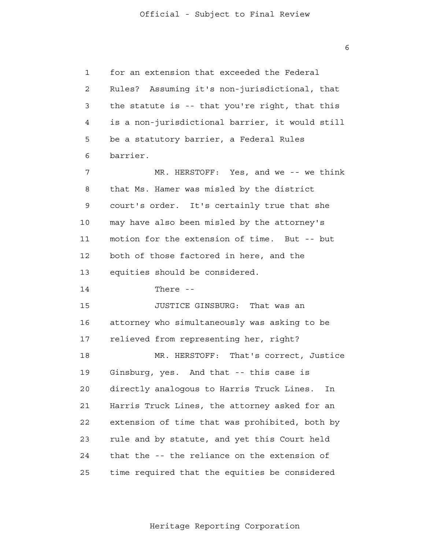1 2 3 4 **5**  6 7 8 9 10 11 12 13 14 15 16 17 18 19  $2.0$  21 22 23 24 25 for an extension that exceeded the Federal Rules? Assuming it's non-jurisdictional, that the statute is -- that you're right, that this is a non-jurisdictional barrier, it would still be a statutory barrier, a Federal Rules barrier. MR. HERSTOFF: Yes, and we -- we think that Ms. Hamer was misled by the district court's order. It's certainly true that she may have also been misled by the attorney's motion for the extension of time. But -- but both of those factored in here, and the equities should be considered. There - JUSTICE GINSBURG: That was an attorney who simultaneously was asking to be relieved from representing her, right? MR. HERSTOFF: That's correct, Justice Ginsburg, yes. And that -- this case is directly analogous to Harris Truck Lines. In Harris Truck Lines, the attorney asked for an extension of time that was prohibited, both by rule and by statute, and yet this Court held that the -- the reliance on the extension of time required that the equities be considered

Heritage Reporting Corporation

 $\overline{6}$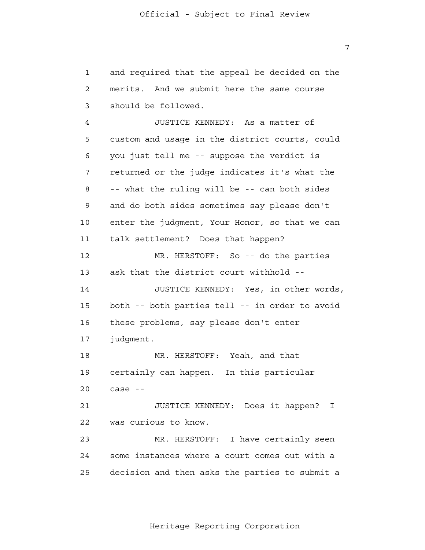1 2 3 and required that the appeal be decided on the merits. And we submit here the same course should be followed.

 4 **5**  6 7 8 9 10 11 12 13 14 15 16 17 18 19  $2.0$  21 22 23 24 JUSTICE KENNEDY: As a matter of custom and usage in the district courts, could you just tell me -- suppose the verdict is returned or the judge indicates it's what the -- what the ruling will be -- can both sides and do both sides sometimes say please don't enter the judgment, Your Honor, so that we can talk settlement? Does that happen? MR. HERSTOFF: So -- do the parties ask that the district court withhold - JUSTICE KENNEDY: Yes, in other words, both -- both parties tell -- in order to avoid these problems, say please don't enter judgment. MR. HERSTOFF: Yeah, and that certainly can happen. In this particular case - JUSTICE KENNEDY: Does it happen? I was curious to know. MR. HERSTOFF: I have certainly seen some instances where a court comes out with a

Heritage Reporting Corporation

decision and then asks the parties to submit a

25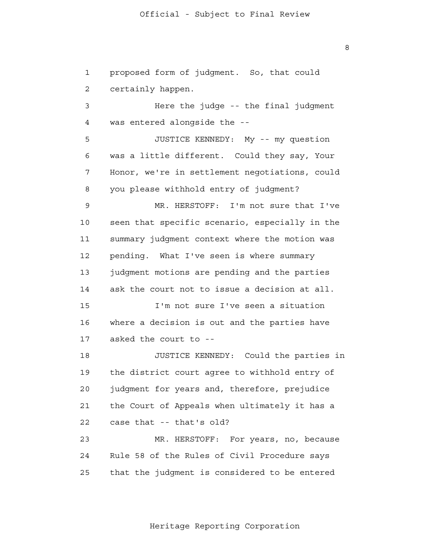1 2 proposed form of judgment. So, that could certainly happen.

 3 4 Here the judge -- the final judgment was entered alongside the -

**5**  6 7 8 JUSTICE KENNEDY: My -- my question was a little different. Could they say, Your Honor, we're in settlement negotiations, could you please withhold entry of judgment?

 9 10 11 12 13 14 MR. HERSTOFF: I'm not sure that I've seen that specific scenario, especially in the summary judgment context where the motion was pending. What I've seen is where summary judgment motions are pending and the parties ask the court not to issue a decision at all.

 15 16 17 I'm not sure I've seen a situation where a decision is out and the parties have asked the court to -

> 18 19 20 21 22 JUSTICE KENNEDY: Could the parties in the district court agree to withhold entry of judgment for years and, therefore, prejudice the Court of Appeals when ultimately it has a case that -- that's old?

 23 24 25 MR. HERSTOFF: For years, no, because Rule 58 of the Rules of Civil Procedure says that the judgment is considered to be entered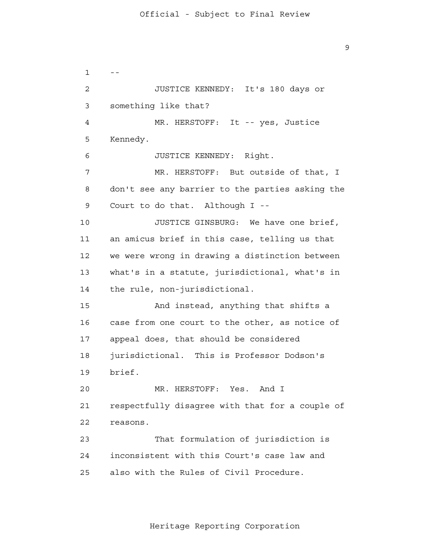9

 $1 - -$  2 3 4 **5**  6 7 8 9 10 11 12 13 14 15 16 17 18 19  $2.0$  21 22 23 24 25 JUSTICE KENNEDY: It's 180 days or something like that? MR. HERSTOFF: It -- yes, Justice Kennedy. JUSTICE KENNEDY: Right. MR. HERSTOFF: But outside of that, I don't see any barrier to the parties asking the Court to do that. Although I - JUSTICE GINSBURG: We have one brief, an amicus brief in this case, telling us that we were wrong in drawing a distinction between what's in a statute, jurisdictional, what's in the rule, non-jurisdictional. And instead, anything that shifts a case from one court to the other, as notice of appeal does, that should be considered jurisdictional. This is Professor Dodson's brief. MR. HERSTOFF: Yes. And I respectfully disagree with that for a couple of reasons. That formulation of jurisdiction is inconsistent with this Court's case law and also with the Rules of Civil Procedure.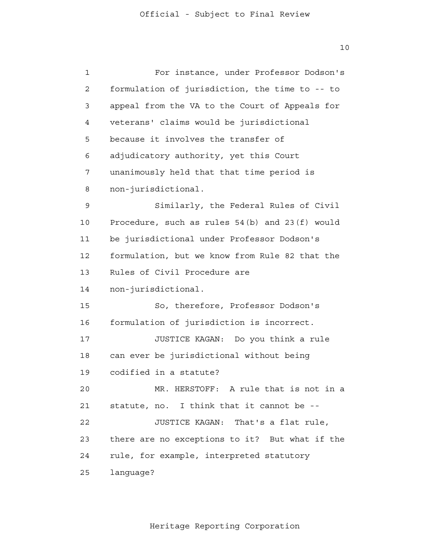1 2 3 4 **5**  6 7 8 9 10 11 12 13 14 15 16 17 18 19  $2.0$  21 22 23 24 25 For instance, under Professor Dodson's formulation of jurisdiction, the time to -- to appeal from the VA to the Court of Appeals for veterans' claims would be jurisdictional because it involves the transfer of adjudicatory authority, yet this Court unanimously held that that time period is non-jurisdictional. Similarly, the Federal Rules of Civil Procedure, such as rules 54(b) and 23(f) would be jurisdictional under Professor Dodson's formulation, but we know from Rule 82 that the Rules of Civil Procedure are non-jurisdictional. So, therefore, Professor Dodson's formulation of jurisdiction is incorrect. JUSTICE KAGAN: Do you think a rule can ever be jurisdictional without being codified in a statute? MR. HERSTOFF: A rule that is not in a statute, no. I think that it cannot be - JUSTICE KAGAN: That's a flat rule, there are no exceptions to it? But what if the rule, for example, interpreted statutory language?

Heritage Reporting Corporation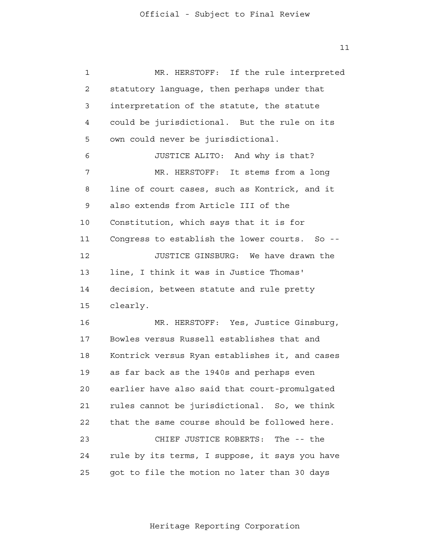1 2 3 4 **5**  6 7 8 9 10 11 12 13 14 15 16 17 18 19  $2.0$  21 22 23 24 25 MR. HERSTOFF: If the rule interpreted statutory language, then perhaps under that interpretation of the statute, the statute could be jurisdictional. But the rule on its own could never be jurisdictional. JUSTICE ALITO: And why is that? MR. HERSTOFF: It stems from a long line of court cases, such as Kontrick, and it also extends from Article III of the Constitution, which says that it is for Congress to establish the lower courts. So --JUSTICE GINSBURG: We have drawn the line, I think it was in Justice Thomas' decision, between statute and rule pretty clearly. MR. HERSTOFF: Yes, Justice Ginsburg, Bowles versus Russell establishes that and Kontrick versus Ryan establishes it, and cases as far back as the 1940s and perhaps even earlier have also said that court-promulgated rules cannot be jurisdictional. So, we think that the same course should be followed here. CHIEF JUSTICE ROBERTS: The -- the rule by its terms, I suppose, it says you have got to file the motion no later than 30 days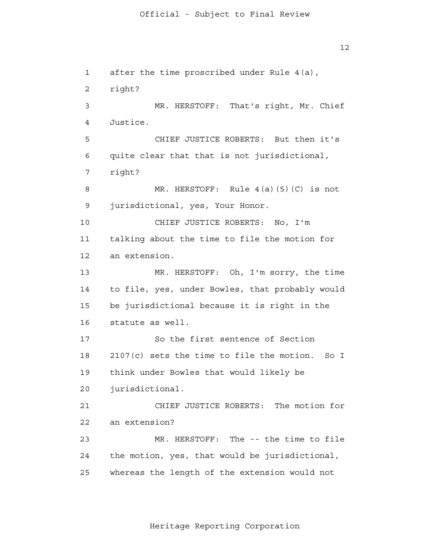1 2 3 4 **5**  6 7 8 9 10 11 12 13 14 15 16 17 18 19 20 21 22 23 24 25  $12$ after the time proscribed under Rule 4(a), right? MR. HERSTOFF: That's right, Mr. Chief Justice. CHIEF JUSTICE ROBERTS: But then it's quite clear that that is not jurisdictional, right? MR. HERSTOFF: Rule 4(a)(5)(C) is not jurisdictional, yes, Your Honor. CHIEF JUSTICE ROBERTS: No, I'm talking about the time to file the motion for an extension. MR. HERSTOFF: Oh, I'm sorry, the time to file, yes, under Bowles, that probably would be jurisdictional because it is right in the statute as well. So the first sentence of Section 2107(c) sets the time to file the motion. So I think under Bowles that would likely be jurisdictional. CHIEF JUSTICE ROBERTS: The motion for an extension? MR. HERSTOFF: The -- the time to file the motion, yes, that would be jurisdictional, whereas the length of the extension would not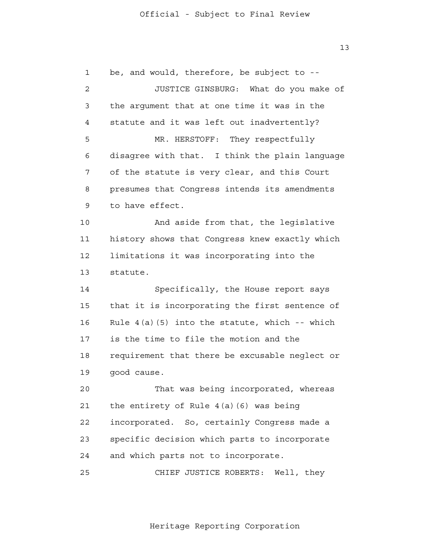1 2 3 4 **5**  6 7 8 9 10 11 12 13 14 15 16 17 18 19  $2.0$  21 22 23 24 25 be, and would, therefore, be subject to - JUSTICE GINSBURG: What do you make of the argument that at one time it was in the statute and it was left out inadvertently? MR. HERSTOFF: They respectfully disagree with that. I think the plain language of the statute is very clear, and this Court presumes that Congress intends its amendments to have effect. And aside from that, the legislative history shows that Congress knew exactly which limitations it was incorporating into the statute. Specifically, the House report says that it is incorporating the first sentence of Rule  $4(a)(5)$  into the statute, which -- which is the time to file the motion and the requirement that there be excusable neglect or good cause. That was being incorporated, whereas the entirety of Rule 4(a)(6) was being incorporated. So, certainly Congress made a specific decision which parts to incorporate and which parts not to incorporate. CHIEF JUSTICE ROBERTS: Well, they

13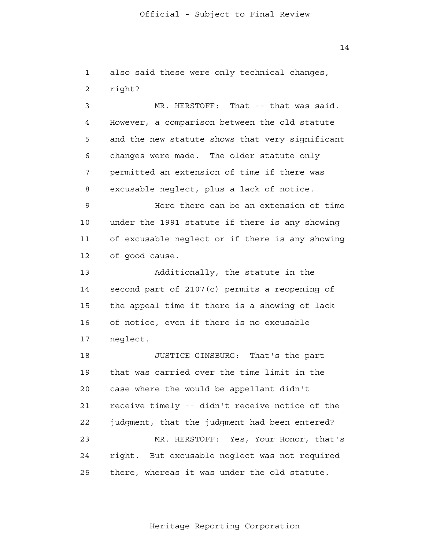1 2 also said these were only technical changes, right?

 3 4 **5**  6 7 8 MR. HERSTOFF: That -- that was said. However, a comparison between the old statute and the new statute shows that very significant changes were made. The older statute only permitted an extension of time if there was excusable neglect, plus a lack of notice.

 9 10 11 12 Here there can be an extension of time under the 1991 statute if there is any showing of excusable neglect or if there is any showing of good cause.

 13 14 15 16 17 Additionally, the statute in the second part of 2107(c) permits a reopening of the appeal time if there is a showing of lack of notice, even if there is no excusable neglect.

> 18 19  $2.0$  21 22 23 24 25 JUSTICE GINSBURG: That's the part that was carried over the time limit in the case where the would be appellant didn't receive timely -- didn't receive notice of the judgment, that the judgment had been entered? MR. HERSTOFF: Yes, Your Honor, that's right. But excusable neglect was not required there, whereas it was under the old statute.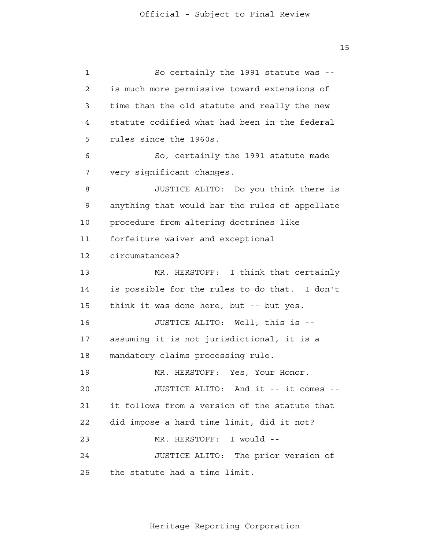1 2 3 4 **5**  6 7 8 9 10 11 12 13 14 15 16 17 18 19  $2.0$  21 22 23 24 25 So certainly the 1991 statute was is much more permissive toward extensions of time than the old statute and really the new statute codified what had been in the federal rules since the 1960s. So, certainly the 1991 statute made very significant changes. JUSTICE ALITO: Do you think there is anything that would bar the rules of appellate procedure from altering doctrines like forfeiture waiver and exceptional circumstances? MR. HERSTOFF: I think that certainly is possible for the rules to do that. I don't think it was done here, but -- but yes. JUSTICE ALITO: Well, this is assuming it is not jurisdictional, it is a mandatory claims processing rule. MR. HERSTOFF: Yes, Your Honor. JUSTICE ALITO: And it -- it comes it follows from a version of the statute that did impose a hard time limit, did it not? MR. HERSTOFF: I would --JUSTICE ALITO: The prior version of the statute had a time limit.

Heritage Reporting Corporation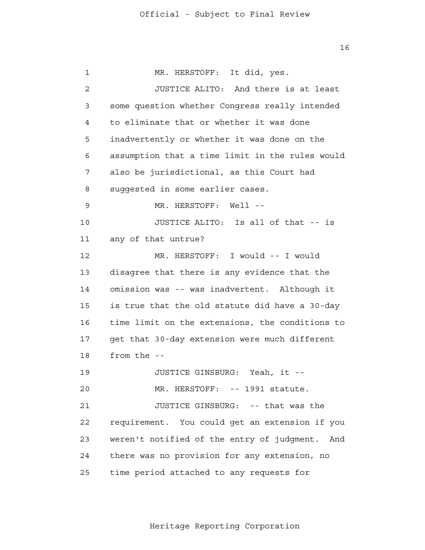1 2 3 4 **5**  6 7 8 9 10 11 12 13 14 15 16 17 18 19  $2.0$  21 22 23 24 25 MR. HERSTOFF: It did, yes. JUSTICE ALITO: And there is at least some question whether Congress really intended to eliminate that or whether it was done inadvertently or whether it was done on the assumption that a time limit in the rules would also be jurisdictional, as this Court had suggested in some earlier cases. MR. HERSTOFF: Well --JUSTICE ALITO: Is all of that -- is any of that untrue? MR. HERSTOFF: I would -- I would disagree that there is any evidence that the omission was -- was inadvertent. Although it is true that the old statute did have a 30-day time limit on the extensions, the conditions to get that 30-day extension were much different from the - JUSTICE GINSBURG: Yeah, it - MR. HERSTOFF: -- 1991 statute. JUSTICE GINSBURG: -- that was the requirement. You could get an extension if you weren't notified of the entry of judgment. And there was no provision for any extension, no time period attached to any requests for

Heritage Reporting Corporation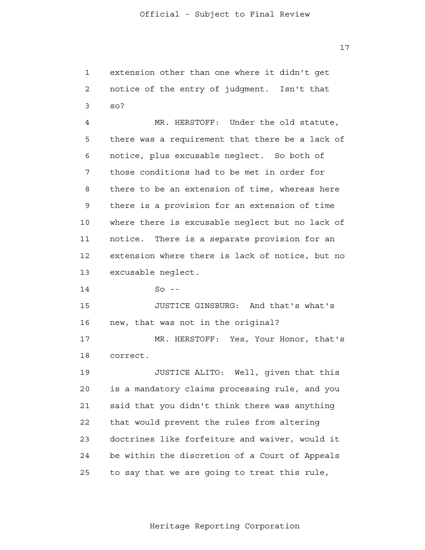1 2 3 extension other than one where it didn't get notice of the entry of judgment. Isn't that so?

 4 **5**  6 7 8 9 10 11 12 13 MR. HERSTOFF: Under the old statute, there was a requirement that there be a lack of notice, plus excusable neglect. So both of those conditions had to be met in order for there to be an extension of time, whereas here there is a provision for an extension of time where there is excusable neglect but no lack of notice. There is a separate provision for an extension where there is lack of notice, but no excusable neglect.

> 14  $So$  --

 15 16 JUSTICE GINSBURG: And that's what's new, that was not in the original?

 17 18 MR. HERSTOFF: Yes, Your Honor, that's correct.

 19  $2.0$  21 22 23 24 25 JUSTICE ALITO: Well, given that this is a mandatory claims processing rule, and you said that you didn't think there was anything that would prevent the rules from altering doctrines like forfeiture and waiver, would it be within the discretion of a Court of Appeals to say that we are going to treat this rule,

Heritage Reporting Corporation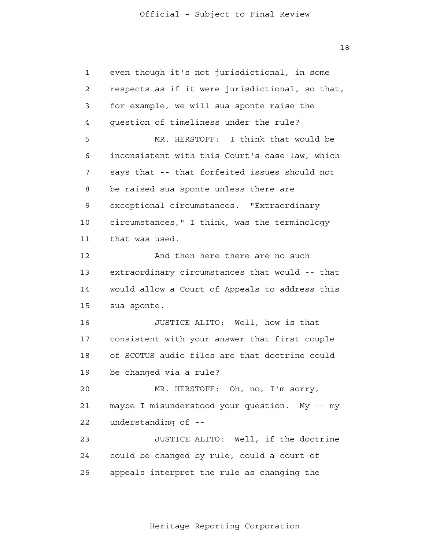1 2 3 4 **5**  6 7 8 9 10 11 12 13 14 15 16 17 18 19  $2.0$  21 22 23 24 25 even though it's not jurisdictional, in some respects as if it were jurisdictional, so that, for example, we will sua sponte raise the question of timeliness under the rule? MR. HERSTOFF: I think that would be inconsistent with this Court's case law, which says that -- that forfeited issues should not be raised sua sponte unless there are exceptional circumstances. "Extraordinary circumstances," I think, was the terminology that was used. And then here there are no such extraordinary circumstances that would -- that would allow a Court of Appeals to address this sua sponte. JUSTICE ALITO: Well, how is that consistent with your answer that first couple of SCOTUS audio files are that doctrine could be changed via a rule? MR. HERSTOFF: Oh, no, I'm sorry, maybe I misunderstood your question. My -- my understanding of - JUSTICE ALITO: Well, if the doctrine could be changed by rule, could a court of appeals interpret the rule as changing the

Heritage Reporting Corporation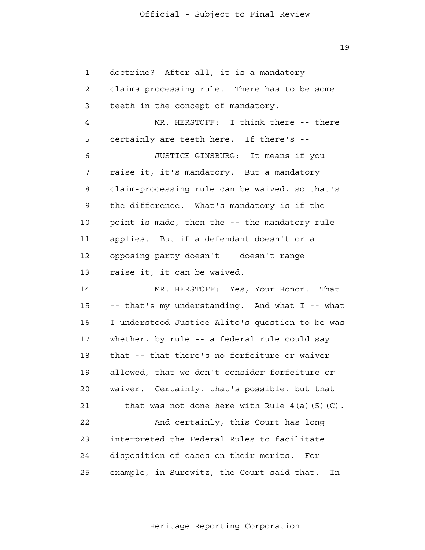1 2 3 4 **5**  6 7 8 9 10 11 12 13 14 15 16 17 18 19  $2.0$  21 22 23 24 25 doctrine? After all, it is a mandatory claims-processing rule. There has to be some teeth in the concept of mandatory. MR. HERSTOFF: I think there -- there certainly are teeth here. If there's - JUSTICE GINSBURG: It means if you raise it, it's mandatory. But a mandatory claim-processing rule can be waived, so that's the difference. What's mandatory is if the point is made, then the -- the mandatory rule applies. But if a defendant doesn't or a opposing party doesn't -- doesn't range raise it, it can be waived. MR. HERSTOFF: Yes, Your Honor. That -- that's my understanding. And what I -- what I understood Justice Alito's question to be was whether, by rule -- a federal rule could say that -- that there's no forfeiture or waiver allowed, that we don't consider forfeiture or waiver. Certainly, that's possible, but that -- that was not done here with Rule  $4(a)(5)(C)$ . And certainly, this Court has long interpreted the Federal Rules to facilitate disposition of cases on their merits. For example, in Surowitz, the Court said that. In

Heritage Reporting Corporation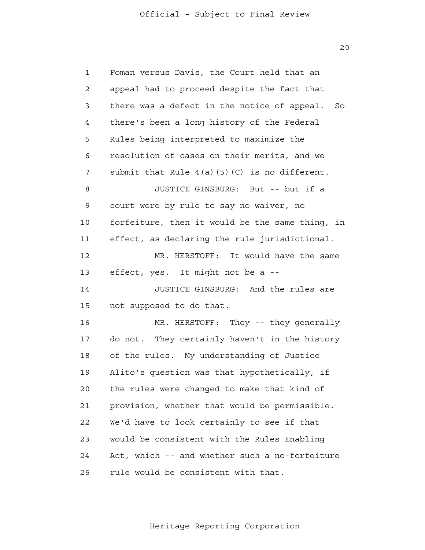1 2 3 4 **5**  6 7 8 9 10 11 12 13 14 15 16 17 18 19  $2.0$  21 22 23 24 25 Foman versus Davis, the Court held that an appeal had to proceed despite the fact that there was a defect in the notice of appeal. So there's been a long history of the Federal Rules being interpreted to maximize the resolution of cases on their merits, and we submit that Rule  $4(a)(5)(C)$  is no different. JUSTICE GINSBURG: But -- but if a court were by rule to say no waiver, no forfeiture, then it would be the same thing, in effect, as declaring the rule jurisdictional. MR. HERSTOFF: It would have the same effect, yes. It might not be a - JUSTICE GINSBURG: And the rules are not supposed to do that. MR. HERSTOFF: They -- they generally do not. They certainly haven't in the history of the rules. My understanding of Justice Alito's question was that hypothetically, if the rules were changed to make that kind of provision, whether that would be permissible. We'd have to look certainly to see if that would be consistent with the Rules Enabling Act, which -- and whether such a no-forfeiture rule would be consistent with that.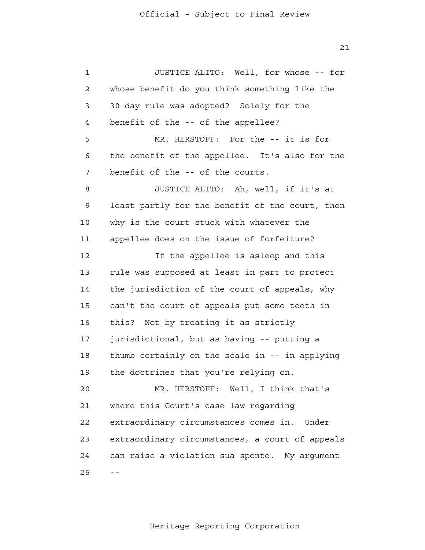1 2 3 4 **5**  6 7 8 9 10 11 12 13 14 15 16 17 18 19  $2.0$  21 22 23 24  $25$  --JUSTICE ALITO: Well, for whose -- for whose benefit do you think something like the 30-day rule was adopted? Solely for the benefit of the -- of the appellee? MR. HERSTOFF: For the -- it is for the benefit of the appellee. It's also for the benefit of the -- of the courts. JUSTICE ALITO: Ah, well, if it's at least partly for the benefit of the court, then why is the court stuck with whatever the appellee does on the issue of forfeiture? If the appellee is asleep and this rule was supposed at least in part to protect the jurisdiction of the court of appeals, why can't the court of appeals put some teeth in this? Not by treating it as strictly jurisdictional, but as having -- putting a thumb certainly on the scale in -- in applying the doctrines that you're relying on. MR. HERSTOFF: Well, I think that's where this Court's case law regarding extraordinary circumstances comes in. Under extraordinary circumstances, a court of appeals can raise a violation sua sponte. My argument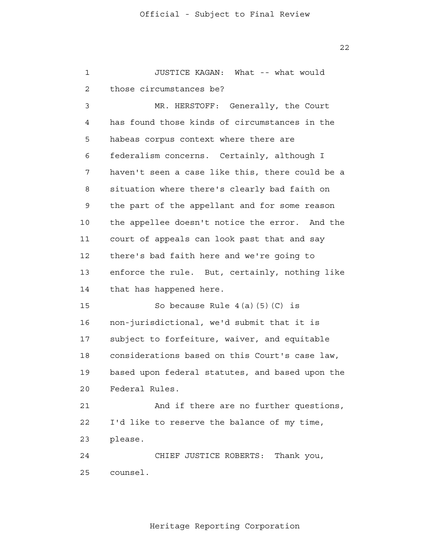1 2 3 4 **5**  6 7 8 9 10 11 12 13 14 15 16 17 18 19  $2.0$  21 22 23 24 25 JUSTICE KAGAN: What -- what would those circumstances be? MR. HERSTOFF: Generally, the Court has found those kinds of circumstances in the habeas corpus context where there are federalism concerns. Certainly, although I haven't seen a case like this, there could be a situation where there's clearly bad faith on the part of the appellant and for some reason the appellee doesn't notice the error. And the court of appeals can look past that and say there's bad faith here and we're going to enforce the rule. But, certainly, nothing like that has happened here. So because Rule  $4(a)(5)(C)$  is non-jurisdictional, we'd submit that it is subject to forfeiture, waiver, and equitable considerations based on this Court's case law, based upon federal statutes, and based upon the Federal Rules. And if there are no further questions, I'd like to reserve the balance of my time, please. CHIEF JUSTICE ROBERTS: Thank you, counsel.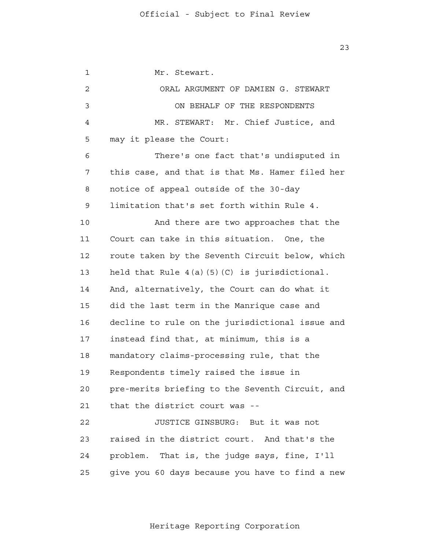1 2 3 4 **5**  6 7 8 9 10 11 12 13 14 15 16 17 18 19  $2.0$  21 22 23 24 25 Mr. Stewart. ORAL ARGUMENT OF DAMIEN G. STEWART ON BEHALF OF THE RESPONDENTS MR. STEWART: Mr. Chief Justice, and may it please the Court: There's one fact that's undisputed in this case, and that is that Ms. Hamer filed her notice of appeal outside of the 30-day limitation that's set forth within Rule 4. And there are two approaches that the Court can take in this situation. One, the route taken by the Seventh Circuit below, which held that Rule  $4(a)(5)(C)$  is jurisdictional. And, alternatively, the Court can do what it did the last term in the Manrique case and decline to rule on the jurisdictional issue and instead find that, at minimum, this is a mandatory claims-processing rule, that the Respondents timely raised the issue in pre-merits briefing to the Seventh Circuit, and that the district court was - JUSTICE GINSBURG: But it was not raised in the district court. And that's the problem. That is, the judge says, fine, I'll give you 60 days because you have to find a new

Heritage Reporting Corporation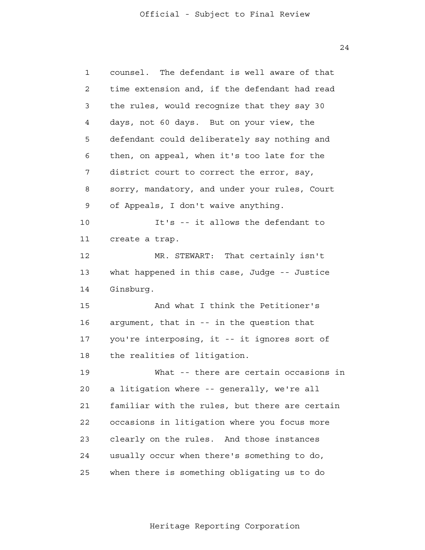1 2 3 4 **5**  6 7 8 9 10 11 12 13 14 15 16 17 18 19 20 21 22 23 24 25 counsel. The defendant is well aware of that time extension and, if the defendant had read the rules, would recognize that they say 30 days, not 60 days. But on your view, the defendant could deliberately say nothing and then, on appeal, when it's too late for the district court to correct the error, say, sorry, mandatory, and under your rules, Court of Appeals, I don't waive anything. It's -- it allows the defendant to create a trap. MR. STEWART: That certainly isn't what happened in this case, Judge -- Justice Ginsburg. And what I think the Petitioner's argument, that in -- in the question that you're interposing, it -- it ignores sort of the realities of litigation. What -- there are certain occasions in a litigation where -- generally, we're all familiar with the rules, but there are certain occasions in litigation where you focus more clearly on the rules. And those instances usually occur when there's something to do, when there is something obligating us to do

Heritage Reporting Corporation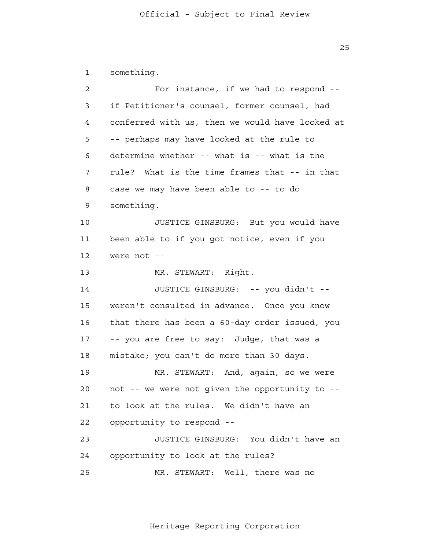1 something.

| $\overline{a}$ | For instance, if we had to respond --           |
|----------------|-------------------------------------------------|
| 3              | if Petitioner's counsel, former counsel, had    |
| 4              | conferred with us, then we would have looked at |
| 5              | -- perhaps may have looked at the rule to       |
| 6              | determine whether -- what is -- what is the     |
| 7              | rule? What is the time frames that -- in that   |
| 8              | case we may have been able to -- to do          |
| 9              | something.                                      |
| 10             | JUSTICE GINSBURG: But you would have            |
| 11             | been able to if you got notice, even if you     |
| 12             | were not --                                     |
| 13             | MR. STEWART: Right.                             |
| 14             | JUSTICE GINSBURG: -- you didn't --              |
| 15             | weren't consulted in advance. Once you know     |
| 16             | that there has been a 60-day order issued, you  |
| 17             | -- you are free to say: Judge, that was a       |
| 18             | mistake; you can't do more than 30 days.        |
| 19             | MR. STEWART: And, again, so we were             |
| 20             | not -- we were not given the opportunity to --  |
| 21             | to look at the rules. We didn't have an         |
| 22             | opportunity to respond --                       |
| 23             | JUSTICE GINSBURG: You didn't have an            |
| 24             | opportunity to look at the rules?               |
| 25             | MR. STEWART: Well, there was no                 |

Heritage Reporting Corporation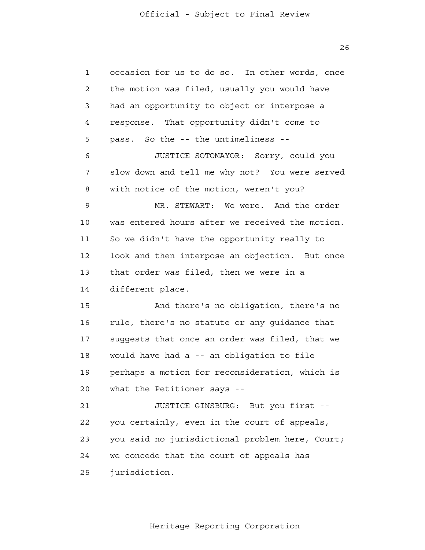1 2 3 4 **5**  6 7 8 9 10 11 12 13 14 15 16 17 18 19 20 21 22 23 24 25 occasion for us to do so. In other words, once the motion was filed, usually you would have had an opportunity to object or interpose a response. That opportunity didn't come to pass. So the -- the untimeliness - JUSTICE SOTOMAYOR: Sorry, could you slow down and tell me why not? You were served with notice of the motion, weren't you? MR. STEWART: We were. And the order was entered hours after we received the motion. So we didn't have the opportunity really to look and then interpose an objection. But once that order was filed, then we were in a different place. And there's no obligation, there's no rule, there's no statute or any guidance that suggests that once an order was filed, that we would have had a -- an obligation to file perhaps a motion for reconsideration, which is what the Petitioner says --JUSTICE GINSBURG: But you first you certainly, even in the court of appeals, you said no jurisdictional problem here, Court; we concede that the court of appeals has jurisdiction.

Heritage Reporting Corporation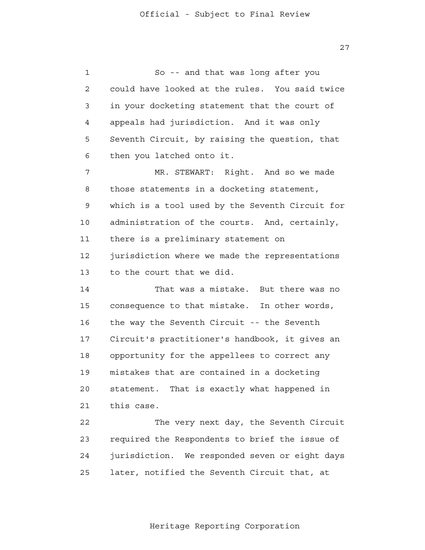1 2 3 4 **5**  6 7 8 9 10 11 12 13 14 15 16 17 18 19  $2.0$  21 22 23 So -- and that was long after you could have looked at the rules. You said twice in your docketing statement that the court of appeals had jurisdiction. And it was only Seventh Circuit, by raising the question, that then you latched onto it. MR. STEWART: Right. And so we made those statements in a docketing statement, which is a tool used by the Seventh Circuit for administration of the courts. And, certainly, there is a preliminary statement on jurisdiction where we made the representations to the court that we did. That was a mistake. But there was no consequence to that mistake. In other words, the way the Seventh Circuit -- the Seventh Circuit's practitioner's handbook, it gives an opportunity for the appellees to correct any mistakes that are contained in a docketing statement. That is exactly what happened in this case. The very next day, the Seventh Circuit required the Respondents to brief the issue of

> 25 later, notified the Seventh Circuit that, at

24

Heritage Reporting Corporation

jurisdiction. We responded seven or eight days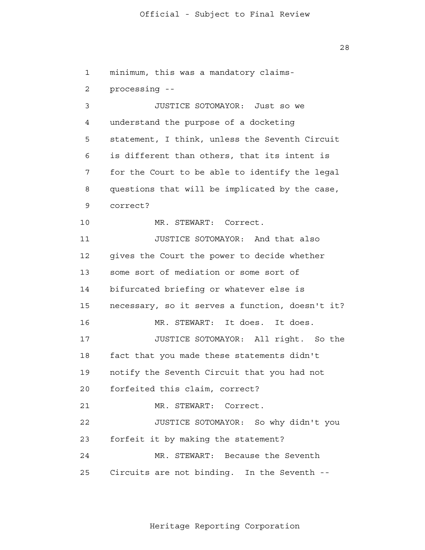1 2 3 4 **5**  6 7 8 9 10 11 12 13 14 15 16 17 18 19  $2.0$  21 22 23 24 25 minimum, this was a mandatory claimsprocessing - JUSTICE SOTOMAYOR: Just so we understand the purpose of a docketing statement, I think, unless the Seventh Circuit is different than others, that its intent is for the Court to be able to identify the legal questions that will be implicated by the case, correct? MR. STEWART: Correct. JUSTICE SOTOMAYOR: And that also gives the Court the power to decide whether some sort of mediation or some sort of bifurcated briefing or whatever else is necessary, so it serves a function, doesn't it? MR. STEWART: It does. It does. JUSTICE SOTOMAYOR: All right. So the fact that you made these statements didn't notify the Seventh Circuit that you had not forfeited this claim, correct? MR. STEWART: Correct. JUSTICE SOTOMAYOR: So why didn't you forfeit it by making the statement? MR. STEWART: Because the Seventh Circuits are not binding. In the Seventh -

Heritage Reporting Corporation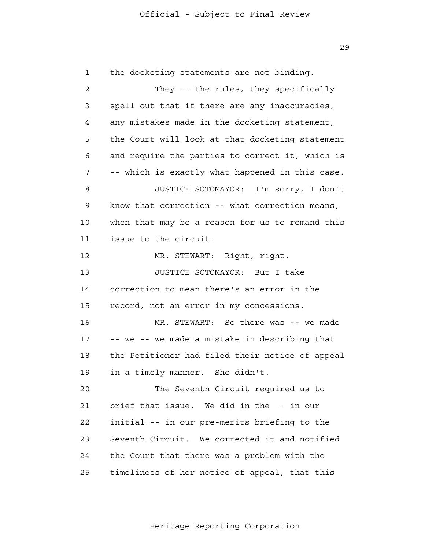1 2 3 4 **5**  6 7 8 9 10 11 12 13 14 15 16 17 18 19  $2.0$  21 22 23 24 25 the docketing statements are not binding. They -- the rules, they specifically spell out that if there are any inaccuracies, any mistakes made in the docketing statement, the Court will look at that docketing statement and require the parties to correct it, which is -- which is exactly what happened in this case. JUSTICE SOTOMAYOR: I'm sorry, I don't know that correction -- what correction means, when that may be a reason for us to remand this issue to the circuit. MR. STEWART: Right, right. JUSTICE SOTOMAYOR: But I take correction to mean there's an error in the record, not an error in my concessions. MR. STEWART: So there was -- we made -- we -- we made a mistake in describing that the Petitioner had filed their notice of appeal in a timely manner. She didn't. The Seventh Circuit required us to brief that issue. We did in the -- in our initial -- in our pre-merits briefing to the Seventh Circuit. We corrected it and notified the Court that there was a problem with the timeliness of her notice of appeal, that this

Heritage Reporting Corporation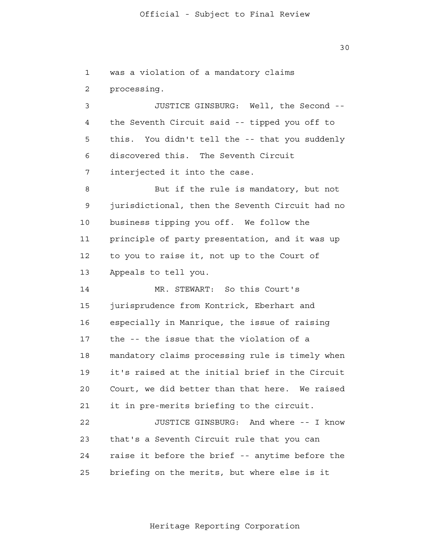1 2 3 4 **5**  6 7 8 9 10 11 12 13 14 15 16 17 18 19  $2.0$  21 22 23 24 25 was a violation of a mandatory claims processing. JUSTICE GINSBURG: Well, the Second the Seventh Circuit said -- tipped you off to this. You didn't tell the -- that you suddenly discovered this. The Seventh Circuit interjected it into the case. But if the rule is mandatory, but not jurisdictional, then the Seventh Circuit had no business tipping you off. We follow the principle of party presentation, and it was up to you to raise it, not up to the Court of Appeals to tell you. MR. STEWART: So this Court's jurisprudence from Kontrick, Eberhart and especially in Manrique, the issue of raising the -- the issue that the violation of a mandatory claims processing rule is timely when it's raised at the initial brief in the Circuit Court, we did better than that here. We raised it in pre-merits briefing to the circuit. JUSTICE GINSBURG: And where -- I know that's a Seventh Circuit rule that you can raise it before the brief -- anytime before the briefing on the merits, but where else is it

Heritage Reporting Corporation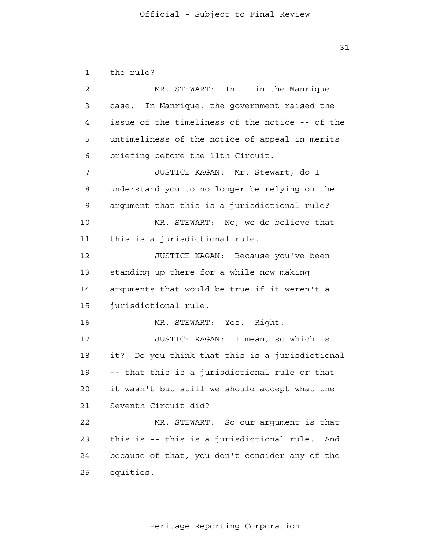1 2 3 4 **5**  6 7 8 9 10 11 12 13 14 15 16 17 18 19  $2.0$  21 22 23 24 25 the rule? MR. STEWART: In -- in the Manrique case. In Manrique, the government raised the issue of the timeliness of the notice -- of the untimeliness of the notice of appeal in merits briefing before the 11th Circuit. JUSTICE KAGAN: Mr. Stewart, do I understand you to no longer be relying on the argument that this is a jurisdictional rule? MR. STEWART: No, we do believe that this is a jurisdictional rule. JUSTICE KAGAN: Because you've been standing up there for a while now making arguments that would be true if it weren't a jurisdictional rule. MR. STEWART: Yes. Right. JUSTICE KAGAN: I mean, so which is it? Do you think that this is a jurisdictional -- that this is a jurisdictional rule or that it wasn't but still we should accept what the Seventh Circuit did? MR. STEWART: So our argument is that this is -- this is a jurisdictional rule. And because of that, you don't consider any of the equities.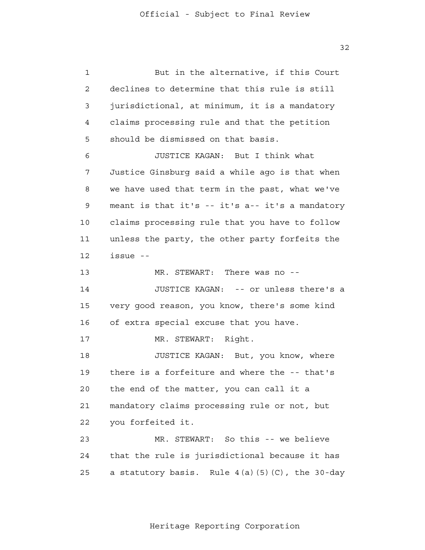1 2 3 4 **5**  6 7 8 9 10 11 12 13 14 15 16 17 18 19  $2.0$  21 22 23 24 25 But in the alternative, if this Court declines to determine that this rule is still jurisdictional, at minimum, it is a mandatory claims processing rule and that the petition should be dismissed on that basis. JUSTICE KAGAN: But I think what Justice Ginsburg said a while ago is that when we have used that term in the past, what we've meant is that it's -- it's a-- it's a mandatory claims processing rule that you have to follow unless the party, the other party forfeits the issue - MR. STEWART: There was no --JUSTICE KAGAN: -- or unless there's a very good reason, you know, there's some kind of extra special excuse that you have. MR. STEWART: Right. JUSTICE KAGAN: But, you know, where there is a forfeiture and where the -- that's the end of the matter, you can call it a mandatory claims processing rule or not, but you forfeited it. MR. STEWART: So this -- we believe that the rule is jurisdictional because it has a statutory basis. Rule  $4(a)(5)(C)$ , the 30-day

Heritage Reporting Corporation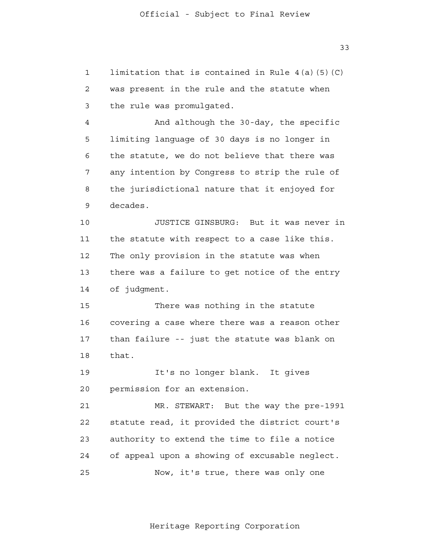1 2 3 4 **5**  6 7 8 9 10 11 12 13 14 15 16 17 18 19 20 21 22 23 24 25 limitation that is contained in Rule 4(a)(5)(C) was present in the rule and the statute when the rule was promulgated. And although the 30-day, the specific limiting language of 30 days is no longer in the statute, we do not believe that there was any intention by Congress to strip the rule of the jurisdictional nature that it enjoyed for decades. JUSTICE GINSBURG: But it was never in the statute with respect to a case like this. The only provision in the statute was when there was a failure to get notice of the entry of judgment. There was nothing in the statute covering a case where there was a reason other than failure -- just the statute was blank on that. It's no longer blank. It gives permission for an extension. MR. STEWART: But the way the pre-1991 statute read, it provided the district court's authority to extend the time to file a notice of appeal upon a showing of excusable neglect. Now, it's true, there was only one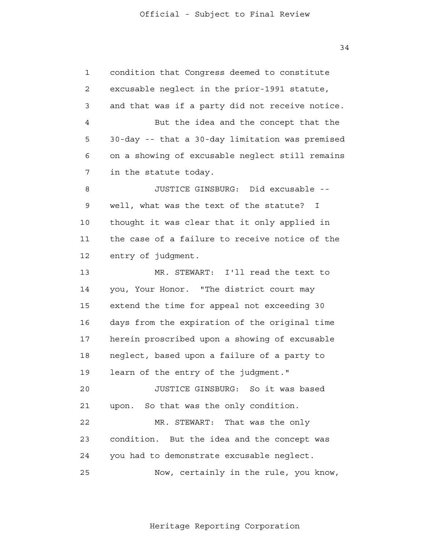1 2 3 4 **5**  6 7 8 9 10 11 12 13 14 15 16 17 18 19  $2.0$  21 22 23 24 25 condition that Congress deemed to constitute excusable neglect in the prior-1991 statute, and that was if a party did not receive notice. But the idea and the concept that the 30-day -- that a 30-day limitation was premised on a showing of excusable neglect still remains in the statute today. JUSTICE GINSBURG: Did excusable well, what was the text of the statute? I thought it was clear that it only applied in the case of a failure to receive notice of the entry of judgment. MR. STEWART: I'll read the text to you, Your Honor. "The district court may extend the time for appeal not exceeding 30 days from the expiration of the original time herein proscribed upon a showing of excusable neglect, based upon a failure of a party to learn of the entry of the judgment." JUSTICE GINSBURG: So it was based upon. So that was the only condition. MR. STEWART: That was the only condition. But the idea and the concept was you had to demonstrate excusable neglect. Now, certainly in the rule, you know,

Heritage Reporting Corporation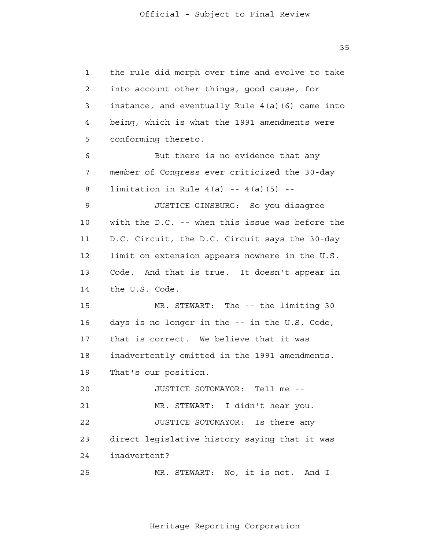1 2 3 4 **5**  6 7 8 9 10 11 12 13 14 15 16 17 18 19  $2.0$  21 22 23 24 25 the rule did morph over time and evolve to take into account other things, good cause, for instance, and eventually Rule 4(a)(6) came into being, which is what the 1991 amendments were conforming thereto. But there is no evidence that any member of Congress ever criticized the 30-day limitation in Rule  $4(a)$  --  $4(a)(5)$  --JUSTICE GINSBURG: So you disagree with the D.C. -- when this issue was before the D.C. Circuit, the D.C. Circuit says the 30-day limit on extension appears nowhere in the U.S. Code. And that is true. It doesn't appear in the U.S. Code. MR. STEWART: The -- the limiting 30 days is no longer in the -- in the U.S. Code, that is correct. We believe that it was inadvertently omitted in the 1991 amendments. That's our position. JUSTICE SOTOMAYOR: Tell me - MR. STEWART: I didn't hear you. JUSTICE SOTOMAYOR: Is there any direct legislative history saying that it was inadvertent? MR. STEWART: No, it is not. And I

Heritage Reporting Corporation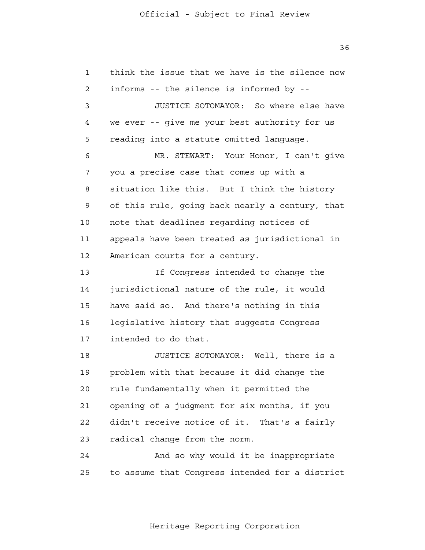1 2 3 4 **5**  6 7 8 9 10 11 12 13 14 15 16 17 18 19  $2.0$  21 22 23 24 25 think the issue that we have is the silence now informs -- the silence is informed by - JUSTICE SOTOMAYOR: So where else have we ever -- give me your best authority for us reading into a statute omitted language. MR. STEWART: Your Honor, I can't give you a precise case that comes up with a situation like this. But I think the history of this rule, going back nearly a century, that note that deadlines regarding notices of appeals have been treated as jurisdictional in American courts for a century. If Congress intended to change the jurisdictional nature of the rule, it would have said so. And there's nothing in this legislative history that suggests Congress intended to do that. JUSTICE SOTOMAYOR: Well, there is a problem with that because it did change the rule fundamentally when it permitted the opening of a judgment for six months, if you didn't receive notice of it. That's a fairly radical change from the norm. And so why would it be inappropriate to assume that Congress intended for a district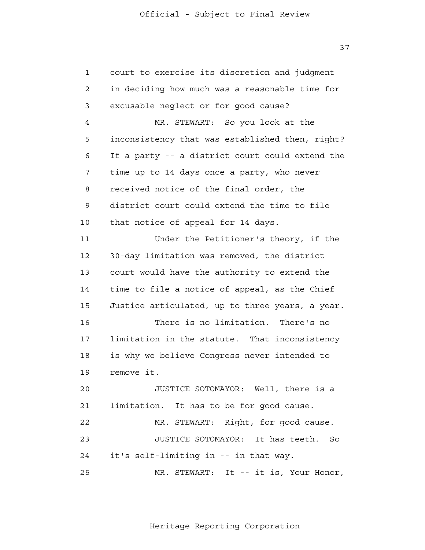1 2 3 4 **5**  6 7 8 9 10 11 12 13 14 15 16 17 18 19  $2.0$  21 22 23 24 25 court to exercise its discretion and judgment in deciding how much was a reasonable time for excusable neglect or for good cause? MR. STEWART: So you look at the inconsistency that was established then, right? If a party -- a district court could extend the time up to 14 days once a party, who never received notice of the final order, the district court could extend the time to file that notice of appeal for 14 days. Under the Petitioner's theory, if the 30-day limitation was removed, the district court would have the authority to extend the time to file a notice of appeal, as the Chief Justice articulated, up to three years, a year. There is no limitation. There's no limitation in the statute. That inconsistency is why we believe Congress never intended to remove it. JUSTICE SOTOMAYOR: Well, there is a limitation. It has to be for good cause. MR. STEWART: Right, for good cause. JUSTICE SOTOMAYOR: It has teeth. So it's self-limiting in -- in that way. MR. STEWART: It -- it is, Your Honor,

37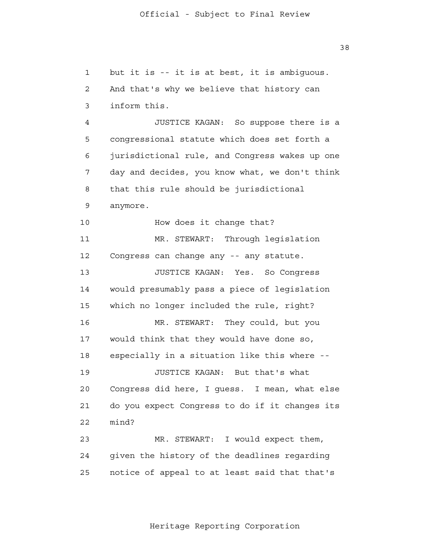1 2 3 4 **5**  6 7 8 9 10 11 12 13 14 15 16 17 18 19 20 21 22 23 24 25 but it is -- it is at best, it is ambiguous. And that's why we believe that history can inform this. JUSTICE KAGAN: So suppose there is a congressional statute which does set forth a jurisdictional rule, and Congress wakes up one day and decides, you know what, we don't think that this rule should be jurisdictional anymore. How does it change that? MR. STEWART: Through legislation Congress can change any -- any statute. JUSTICE KAGAN: Yes. So Congress would presumably pass a piece of legislation which no longer included the rule, right? MR. STEWART: They could, but you would think that they would have done so, especially in a situation like this where - JUSTICE KAGAN: But that's what Congress did here, I guess. I mean, what else do you expect Congress to do if it changes its mind? MR. STEWART: I would expect them, given the history of the deadlines regarding notice of appeal to at least said that that's

Heritage Reporting Corporation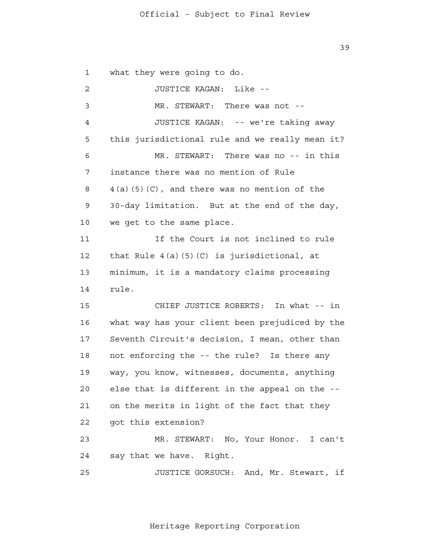1 2 3 4 **5**  6 7 8 9 10 11 12 13 14 15 16 17 18 19 20 21 22 23 24 25 what they were going to do. JUSTICE KAGAN: Like - MR. STEWART: There was not --JUSTICE KAGAN: -- we're taking away this jurisdictional rule and we really mean it? MR. STEWART: There was no -- in this instance there was no mention of Rule 4(a)(5)(C), and there was no mention of the 30-day limitation. But at the end of the day, we get to the same place. If the Court is not inclined to rule that Rule 4(a)(5)(C) is jurisdictional, at minimum, it is a mandatory claims processing rule. CHIEF JUSTICE ROBERTS: In what -- in what way has your client been prejudiced by the Seventh Circuit's decision, I mean, other than not enforcing the -- the rule? Is there any way, you know, witnesses, documents, anything else that is different in the appeal on the on the merits in light of the fact that they got this extension? MR. STEWART: No, Your Honor. I can't say that we have. Right. JUSTICE GORSUCH: And, Mr. Stewart, if

39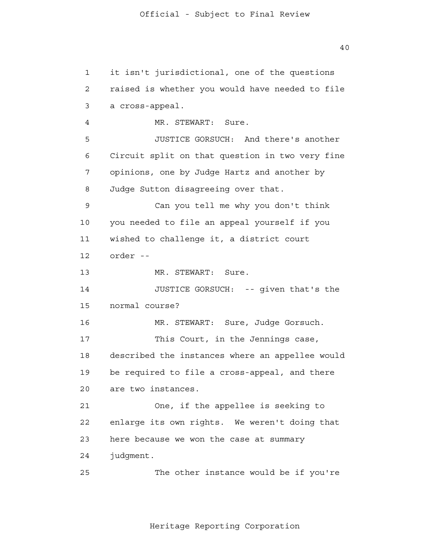1 2 3 4 **5**  6 7 8 9 10 11 12 13 14 15 16 17 18 19  $2.0$  21 22 23 24 25 it isn't jurisdictional, one of the questions raised is whether you would have needed to file a cross-appeal. MR. STEWART: Sure. JUSTICE GORSUCH: And there's another Circuit split on that question in two very fine opinions, one by Judge Hartz and another by Judge Sutton disagreeing over that. Can you tell me why you don't think you needed to file an appeal yourself if you wished to challenge it, a district court order - MR. STEWART: Sure. JUSTICE GORSUCH: -- given that's the normal course? MR. STEWART: Sure, Judge Gorsuch. This Court, in the Jennings case, described the instances where an appellee would be required to file a cross-appeal, and there are two instances. One, if the appellee is seeking to enlarge its own rights. We weren't doing that here because we won the case at summary judgment. The other instance would be if you're

Heritage Reporting Corporation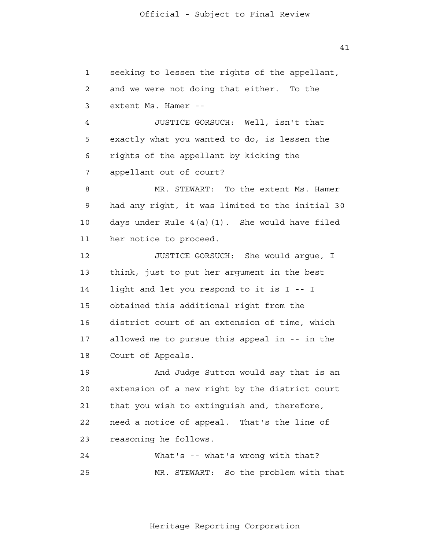1 2 3 4 **5**  6 7 8 9 10 11 12 13 14 15 16 17 18 19 20 21 22 23 24 25 seeking to lessen the rights of the appellant, and we were not doing that either. To the extent Ms. Hamer - JUSTICE GORSUCH: Well, isn't that exactly what you wanted to do, is lessen the rights of the appellant by kicking the appellant out of court? MR. STEWART: To the extent Ms. Hamer had any right, it was limited to the initial 30 days under Rule 4(a)(1). She would have filed her notice to proceed. JUSTICE GORSUCH: She would argue, I think, just to put her argument in the best light and let you respond to it is I -- I obtained this additional right from the district court of an extension of time, which allowed me to pursue this appeal in -- in the Court of Appeals. And Judge Sutton would say that is an extension of a new right by the district court that you wish to extinguish and, therefore, need a notice of appeal. That's the line of reasoning he follows. What's -- what's wrong with that? MR. STEWART: So the problem with that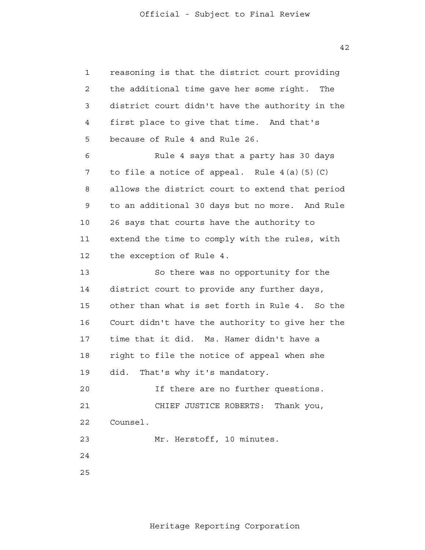1 2 3 4 **5**  6 7 8 9 10 11 12 13 14 15 16 17 18 19  $2.0$  21 22 23 24 25 reasoning is that the district court providing the additional time gave her some right. The district court didn't have the authority in the first place to give that time. And that's because of Rule 4 and Rule 26. Rule 4 says that a party has 30 days to file a notice of appeal. Rule  $4(a)(5)(C)$ allows the district court to extend that period to an additional 30 days but no more. And Rule 26 says that courts have the authority to extend the time to comply with the rules, with the exception of Rule 4. So there was no opportunity for the district court to provide any further days, other than what is set forth in Rule 4. So the Court didn't have the authority to give her the time that it did. Ms. Hamer didn't have a right to file the notice of appeal when she did. That's why it's mandatory. If there are no further questions. CHIEF JUSTICE ROBERTS: Thank you, Counsel. Mr. Herstoff, 10 minutes.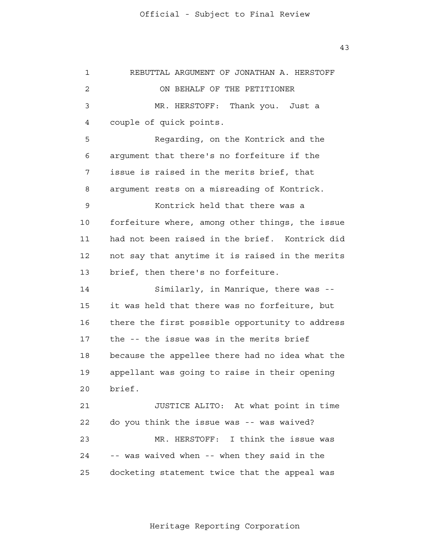1 2 3 4 **5**  6 7 8 9 10 11 12 13 14 15 16 17 18 19  $2.0$  21 22 23 24 25 REBUTTAL ARGUMENT OF JONATHAN A. HERSTOFF ON BEHALF OF THE PETITIONER MR. HERSTOFF: Thank you. Just a couple of quick points. Regarding, on the Kontrick and the argument that there's no forfeiture if the issue is raised in the merits brief, that argument rests on a misreading of Kontrick. Kontrick held that there was a forfeiture where, among other things, the issue had not been raised in the brief. Kontrick did not say that anytime it is raised in the merits brief, then there's no forfeiture. Similarly, in Manrique, there was it was held that there was no forfeiture, but there the first possible opportunity to address the -- the issue was in the merits brief because the appellee there had no idea what the appellant was going to raise in their opening brief. JUSTICE ALITO: At what point in time do you think the issue was -- was waived? MR. HERSTOFF: I think the issue was -- was waived when -- when they said in the docketing statement twice that the appeal was

Heritage Reporting Corporation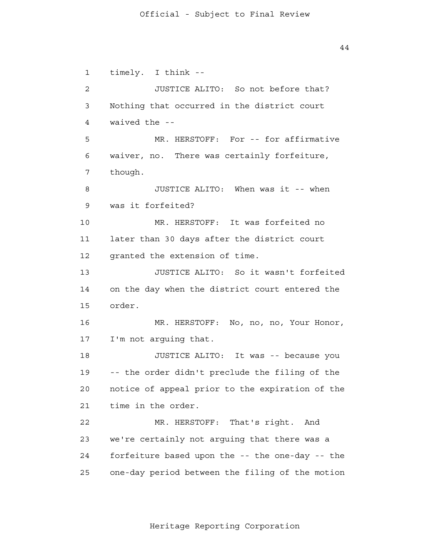1 2 3 4 **5**  6 7 8 9 10 11 12 13 14 15 16 17 18 19 20 21 22 23 24 25 timely. I think - JUSTICE ALITO: So not before that? Nothing that occurred in the district court waived the - MR. HERSTOFF: For -- for affirmative waiver, no. There was certainly forfeiture, though. JUSTICE ALITO: When was it -- when was it forfeited? MR. HERSTOFF: It was forfeited no later than 30 days after the district court granted the extension of time. JUSTICE ALITO: So it wasn't forfeited on the day when the district court entered the order. MR. HERSTOFF: No, no, no, Your Honor, I'm not arguing that. JUSTICE ALITO: It was -- because you -- the order didn't preclude the filing of the notice of appeal prior to the expiration of the time in the order. MR. HERSTOFF: That's right. And we're certainly not arguing that there was a forfeiture based upon the -- the one-day -- the one-day period between the filing of the motion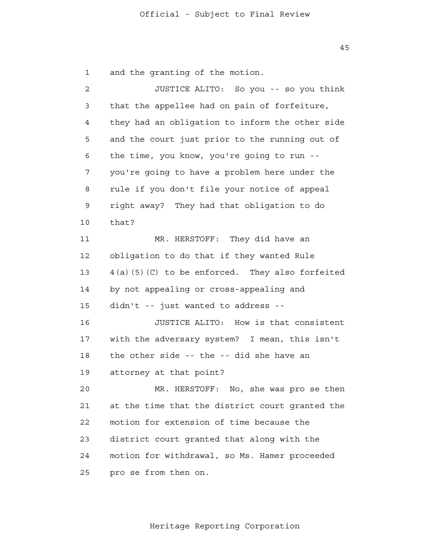45

 1 and the granting of the motion.

 2 3 4 **5**  6 7 8 9 10 11 12 13 14 15 16 17 18 19  $2.0$  21 22 23 24 25 JUSTICE ALITO: So you -- so you think that the appellee had on pain of forfeiture, they had an obligation to inform the other side and the court just prior to the running out of the time, you know, you're going to run you're going to have a problem here under the rule if you don't file your notice of appeal right away? They had that obligation to do that? MR. HERSTOFF: They did have an obligation to do that if they wanted Rule 4(a)(5)(C) to be enforced. They also forfeited by not appealing or cross-appealing and didn't -- just wanted to address - JUSTICE ALITO: How is that consistent with the adversary system? I mean, this isn't the other side -- the -- did she have an attorney at that point? MR. HERSTOFF: No, she was pro se then at the time that the district court granted the motion for extension of time because the district court granted that along with the motion for withdrawal, so Ms. Hamer proceeded pro se from then on.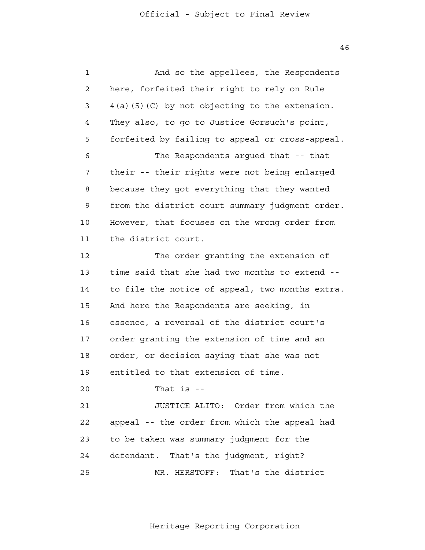46

| $\mathbf 1$ | And so the appellees, the Respondents             |
|-------------|---------------------------------------------------|
| 2           | here, forfeited their right to rely on Rule       |
| 3           | $4(a)$ (5) (C) by not objecting to the extension. |
| 4           | They also, to go to Justice Gorsuch's point,      |
| 5           | forfeited by failing to appeal or cross-appeal.   |
| 6           | The Respondents argued that -- that               |
| 7           | their -- their rights were not being enlarged     |
| 8           | because they got everything that they wanted      |
| 9           | from the district court summary judgment order.   |
| 10          | However, that focuses on the wrong order from     |
| 11          | the district court.                               |
| 12          | The order granting the extension of               |
| 13          | time said that she had two months to extend --    |
| 14          | to file the notice of appeal, two months extra.   |
| 15          | And here the Respondents are seeking, in          |
| 16          | essence, a reversal of the district court's       |
| 17          | order granting the extension of time and an       |
| 18          | order, or decision saying that she was not        |
| 19          | entitled to that extension of time.               |
| 20          | That is $-$                                       |
| 21          | JUSTICE ALITO: Order from which the               |
| 22          | appeal -- the order from which the appeal had     |
| 23          | to be taken was summary judgment for the          |
| 24          | defendant. That's the judgment, right?            |
| 25          | MR. HERSTOFF: That's the district                 |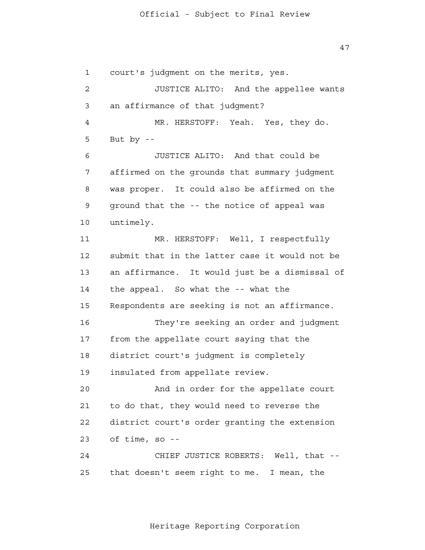1 2 3 4 **5**  6 7 8 9 10 11 12 13 14 15 16 17 18 19  $2.0$  21 22 23 24 25 court's judgment on the merits, yes. JUSTICE ALITO: And the appellee wants an affirmance of that judgment? MR. HERSTOFF: Yeah. Yes, they do. But by  $-$ JUSTICE ALITO: And that could be affirmed on the grounds that summary judgment was proper. It could also be affirmed on the ground that the -- the notice of appeal was untimely. MR. HERSTOFF: Well, I respectfully submit that in the latter case it would not be an affirmance. It would just be a dismissal of the appeal. So what the -- what the Respondents are seeking is not an affirmance. They're seeking an order and judgment from the appellate court saying that the district court's judgment is completely insulated from appellate review. And in order for the appellate court to do that, they would need to reverse the district court's order granting the extension of time, so - CHIEF JUSTICE ROBERTS: Well, that that doesn't seem right to me. I mean, the

Heritage Reporting Corporation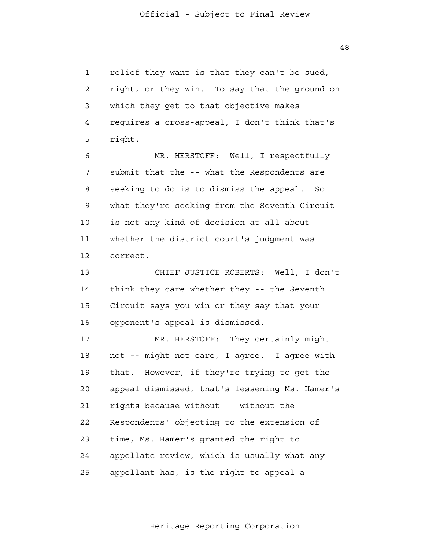1 2 3 4 **5**  6 7 8 9 10 11 12 13 14 15 16 17 18 19  $2.0$  21 22 23 24 25 relief they want is that they can't be sued, right, or they win. To say that the ground on which they get to that objective makes -requires a cross-appeal, I don't think that's right. MR. HERSTOFF: Well, I respectfully submit that the -- what the Respondents are seeking to do is to dismiss the appeal. So what they're seeking from the Seventh Circuit is not any kind of decision at all about whether the district court's judgment was correct. CHIEF JUSTICE ROBERTS: Well, I don't think they care whether they -- the Seventh Circuit says you win or they say that your opponent's appeal is dismissed. MR. HERSTOFF: They certainly might not -- might not care, I agree. I agree with that. However, if they're trying to get the appeal dismissed, that's lessening Ms. Hamer's rights because without -- without the Respondents' objecting to the extension of time, Ms. Hamer's granted the right to appellate review, which is usually what any appellant has, is the right to appeal a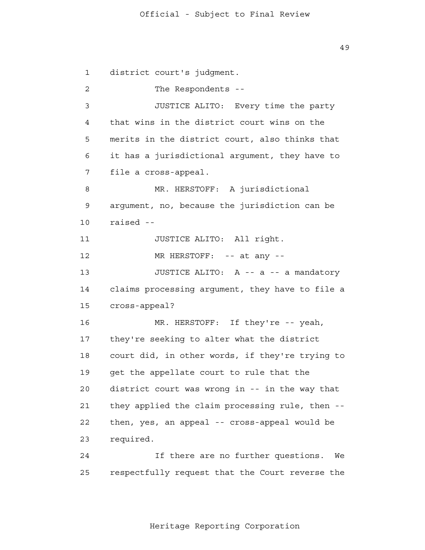1 2 3 4 **5**  6 7 8 9 10 11 12 13 14 15 16 17 18 19  $2.0$  21 22 23 24 25 district court's judgment. The Respondents --JUSTICE ALITO: Every time the party that wins in the district court wins on the merits in the district court, also thinks that it has a jurisdictional argument, they have to file a cross-appeal. MR. HERSTOFF: A jurisdictional argument, no, because the jurisdiction can be raised - JUSTICE ALITO: All right. MR HERSTOFF: -- at any --JUSTICE ALITO: A -- a -- a mandatory claims processing argument, they have to file a cross-appeal? MR. HERSTOFF: If they're -- yeah, they're seeking to alter what the district court did, in other words, if they're trying to get the appellate court to rule that the district court was wrong in -- in the way that they applied the claim processing rule, then then, yes, an appeal -- cross-appeal would be required. If there are no further questions. We respectfully request that the Court reverse the

Heritage Reporting Corporation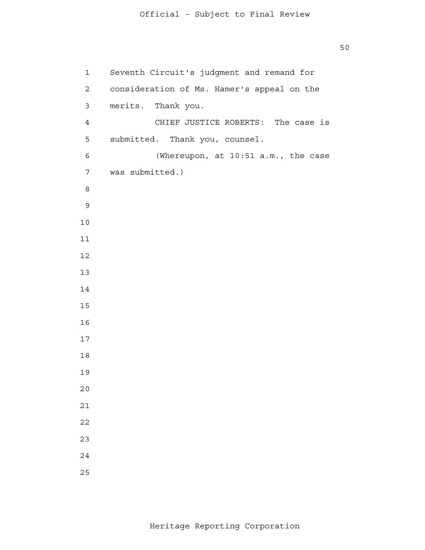8 and 3 and 3 and 3 and 3 and 3 and 3 and 3 and 3 and 3 and 3 and 3 and 3 and 3 and 3 and 3 and 3 and 3 and 3 Seventh Circuit's judgment and remand for consideration of Ms. Hamer's appeal on the merits. Thank you. CHIEF JUSTICE ROBERTS: The case is submitted. Thank you, counsel. (Whereupon, at 10:51 a.m., the case was submitted.)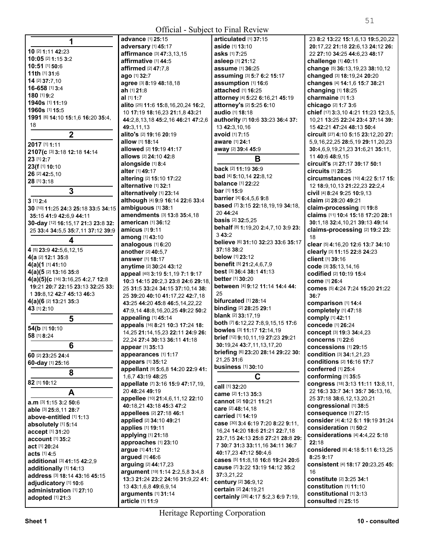**All Contracts** 

| 1                                   | <b>advance</b> [1] <b>25:15</b>                              | articulated [1] 37:15               | 23 8:2 13:22 15:1,6,13 19:5,20,22    |
|-------------------------------------|--------------------------------------------------------------|-------------------------------------|--------------------------------------|
|                                     | adversary [1] 45:17                                          | aside [1] 13:10                     | 20:17,22 21:18 22:6,13 24:12 26:     |
| 10 [2] 1:11 42:23                   | affirmance [3] 47:3,13,15                                    | asks [1] 7:25                       | 22 27:10 34:25 44:6,23 48:17         |
| 10:05 [2] 1:15 3:2                  | affirmative [1] 44:5                                         | asleep [1] 21:12                    | challenge [1] 40:11                  |
| 10:51 [1] 50:6                      | affirmed [2] 47:7,8                                          | assume [1] 36:25                    | change [5] 36:13,19,23 38:10,12      |
| 11th [1] 31:6                       | ago [1] 32:7                                                 | assuming [3] 5:7 6:2 15:17          | changed [3] 18:19,24 20:20           |
| 14 [2] 37:7,10                      | agree [3] 8:19 48:18,18                                      | assumption [1] 16:6                 | changes [4] 14:1,6 15:7 38:21        |
| 16-658 [1] 3:4                      | ah [1] 21:8                                                  | attached [1] 16:25                  | changing [1] 18:25                   |
| 180 [1] 9:2                         | al [1] 1:7                                                   | attorney [4] 5:22 6:16,21 45:19     | charmaine [1] 1:3                    |
| 1940s [1] 11:19                     | alito [25] 11:6 15:8, 16, 20, 24 16:2,                       | attorney's [2] 5:25 6:10            | chicago [2] 1:7 3:6                  |
| 1960s [1] 15:5                      | 10 17:19 18:16,23 21:1,8 43:21                               | audio [1] 18:18                     | chief [17] 3:3,10 4:21 11:23 12:3,5, |
| 1991 [6] 14:10 15:1,6 16:20 35:4,   |                                                              | authority [7] 10:6 33:23 36:4 37:   | 10,21 13:25 22:24 23:4 37:14 39:     |
| 18                                  | 44:2,8,13,18 45:2,16 46:21 47:2,6                            |                                     |                                      |
|                                     | 49:3,11,13                                                   | 13 42:3,10,16                       | 15 42:21 47:24 48:13 50:4            |
| $\mathbf 2$                         | alito's [2] 19:16 20:19                                      | avoid [1] 7:15                      | circuit [27] 4:10 5:15 23:12,20 27:  |
| 2017 [1] 1:11                       | allow [1] 18:14                                              | aware [1] 24:1                      | 5,9,16,22,25 28:5,19 29:11,20,23     |
| 2107(c [3] 3:18 12:18 14:14         | allowed [2] 19:19 41:17                                      | away [2] 39:4 45:9                  | 30:4,6,9,19,21,23 31:6,21 35:11,     |
| 23 [1] 2:7                          | allows [2] 24:10 42:8                                        | B                                   | 11 40:6 48:9,15                      |
| 23(f [1] 10:10                      | alongside [1] 8:4                                            | back [2] 11:19 36:9                 | circuit's [3] 27:17 39:17 50:1       |
| 26 [2] 42:5,10                      | alter [1] 49:17                                              | bad [4] 5:10,14 22:8,12             | <b>circuits</b> [1] 28:25            |
| 28 [1] 3:18                         | altering [2] 15:10 17:22                                     |                                     | circumstances [10] 4:22 5:17 15:     |
|                                     | alternative [1] 32:1                                         | <b>balance</b> [1] 22:22            | 12 18:9, 10, 13 21: 22, 23 22: 2, 4  |
| 3                                   | alternatively [1] 23:14                                      | <b>bar</b> [1] <b>15:</b> 9         | civil [4] 8:24 9:25 10:9,13          |
| $3$ [1] $2:4$                       | although [4] 9:9 16:14 22:6 33:4                             | barrier [4] 6:4,5,6 9:8             | claim [2] 28:20 49:21                |
| 30 [10] 11:25 24:3 25:18 33:5 34:15 | ambiguous [1] 38:1                                           | based [7] 3:15 22:18,19,19 34:18,   | claim-processing [1] 19:8            |
| 35:15 41:9 42:6,9 44:11             | amendments [3] 13:8 35:4,18                                  | 20 44:24                            | claims [11] 10:4 15:18 17:20 28:1    |
| 30-day [12] 16:15,17 21:3 23:8 32:  | american [1] 36:12                                           | <b>basis</b> [2] 32:5,25            | 30:1,18 32:4,10,21 39:13 49:14       |
| 25 33:4 34:5,5 35:7,11 37:12 39:9   | amicus [1] 9:11                                              | behalf [8] 1:19,20 2:4,7,10 3:9 23: | claims-processing [2] 19:2 23:       |
|                                     | among [1] 43:10                                              | 343:2                               | 18                                   |
| 4                                   | analogous [1] 6:20                                           | believe [6] 31:10 32:23 33:6 35:17  | clear [5] 4:16,20 12:6 13:7 34:10    |
| 4 [5] 23:9 42:5,6,12,15             | another [2] 40:5,7                                           | 37:18 38:2                          | clearly [3] 11:15 22:8 24:23         |
| 4(a [2] 12:1 35:8                   | answer [1] 18:17                                             | below [1] 23:12                     | client [1] 39:16                     |
| 4(a)(1 [1] 41:10                    | anytime [2] 30:24 43:12                                      | benefit [5] 21:2,4,6,7,9            | code [3] 35:13,14,16                 |
| 4(a)(5 [2] 13:16 35:8               | appeal [40] 3:19 5:1,19 7:1 9:17                             | best [3] 36:4 38:1 41:13            | codified [2] 10:19 15:4              |
| 4(a)(5)(c [16] 3:16,25 4:2,7 12:8   | 10:3 14:15 20:2,3 23:8 24:6 29:18,                           | <b>better</b> [1] 30:20             | come [1] 26:4                        |
| 19:21 20:7 22:15 23:13 32:25 33:    | 25 31:5 33:24 34:15 37:10,14 38:                             | between [4] 9:12 11:14 14:4 44:     | comes [5] 4:24 7:24 15:20 21:22      |
| 1 39:8,12 42:7 45:13 46:3           | 25 39:20 40:10 41:17,22 42:7,18                              | 25                                  | 36:7                                 |
| 4(a)(6 <sup>[2]</sup> 13:21 35:3    | 43:25 44:20 45:8 46:5,14,22,22                               | bifurcated [1] 28:14                | comparison [1] 14:4                  |
| 43 [1] 2:10                         | 47:9,14 48:8,16,20,25 49:22 50:2                             | binding [2] 28:25 29:1              | completely [1] 47:18                 |
| 5                                   | appealing [1] 45:14                                          | <b>blank</b> [2] 33:17,19           | comply [1] 42:11                     |
|                                     | appeals [16] 8:21 10:3 17:24 18:                             | both [7] 6:12,22 7:8,9,15,15 17:6   | concede [1] 26:24                    |
| 54(b [1] 10:10                      | 14,25 21:14,15,23 22:11 24:9 26:                             | bowles [3] 11:17 12:14,19           | concept [3] 19:3 34:4,23             |
| 58 [1] 8:24                         | 22,24 27:4 30:13 36:11 41:18                                 | brief [12] 9:10,11,19 27:23 29:21   | <b>concerns</b> [1] 22:6             |
| 6                                   | appear [1] 35:13                                             | 30:19,24 43:7,11,13,17,20           | concessions [1] 29:15                |
|                                     | appearances [1] 1:17                                         | briefing [6] 23:20 28:14 29:22 30:  | condition [3] 34:1,21,23             |
| 60 [2] 23:25 24:4                   | appears [1] 35:12                                            | 21,25 31:6                          | conditions [2] 16:16 17:7            |
| 60-day [1] 25:16                    | appellant [9] 5:6,8 14:20 22:9 41:                           | <b>business</b> [1] 30:10           | conferred [1] 25:4                   |
| 8                                   | 1,6,7 43:19 48:25                                            | C                                   | conforming [1] 35:5                  |
| 82 [1] 10:12                        | appellate [7] 3:16 15:9 47:17,19,                            |                                     | congress [18] 3:13 11:11 13:8,11,    |
|                                     | 20 48:24 49:19                                               | call [1] 32:20                      | 22 16:3 33:7 34:1 35:7 36:13,16,     |
| A                                   |                                                              | came [2] 1:13 35:3                  | 25 37:18 38:6,12,13,20,21            |
| a.m [3] 1:15 3:2 50:6               | appellee [10] 21:4,6,11,12 22:10<br>40:18.21 43:18 45:3 47:2 | cannot [2] 10:21 11:21              |                                      |
| able [3] 25:8,11 28:7               |                                                              | care [2] 48:14,18                   | congressional [1] 38:5               |
| above-entitled [1] 1:13             | appellees [2] 27:18 46:1                                     | carried [1] 14:19                   | consequence [1] 27:15                |
| absolutely [1] 5:14                 | applied [2] 34:10 49:21                                      | case [30] 3:4 6:19 7:20 8:22 9:11,  | consider [4] 4:12 5:1 19:19 31:24    |
| accept [1] 31:20                    | applies [1] 19:11                                            | 16,24 14:20 18:6 21:21 22:7,18      | consideration [1] 50:2               |
| account [1] 35:2                    | applying [1] 21:18                                           | 23:7,15 24:13 25:8 27:21 28:8 29:   | considerations [4] 4:4,22 5:18       |
| act [1] 20:24                       | approaches [1] 23:10                                         | 7 30:7 31:3 33:11,16 34:11 36:7     | 22:18                                |
| <b>acts</b> [1] <b>4:</b> 5         | argue [1] 41:12                                              | 40:17,23 47:12 50:4,6               | considered [6] 4:18 5:11 6:13,25     |
| additional [3] 41:15 42:2,9         | argued [1] 46:6                                              | cases [5] 11:8,18 16:8 19:24 20:6   | 8:25 9:17                            |
| additionally [1] 14:13              | arguing [2] 44:17,23                                         | cause [7] 3:22 13:19 14:12 35:2     | consistent [4] 18:17 20:23,25 45:    |
| address [3] 18:14 43:16 45:15       | argument [19] 1:14 2:2,5,8 3:4,8                             | 37:3,21,22                          | 16                                   |
| adjudicatory [1] 10:6               | 13:3 21:24 23:2 24:16 31:9,22 41:                            | century [2] 36:9,12                 | constitute [2] 3:25 34:1             |
| administration [1] 27:10            | 13 43:1,6,8 49:6,9,14                                        | certain [2] 24:19,21                | constitution [1] 11:10               |
|                                     | arguments [1] 31:14                                          | certainly [26] 4:17 5:2,3 6:9 7:19, | constitutional [1] 3:13              |
| adopted [1] 21:3                    | article [1] 11:9                                             |                                     | consulted [1] 25:15                  |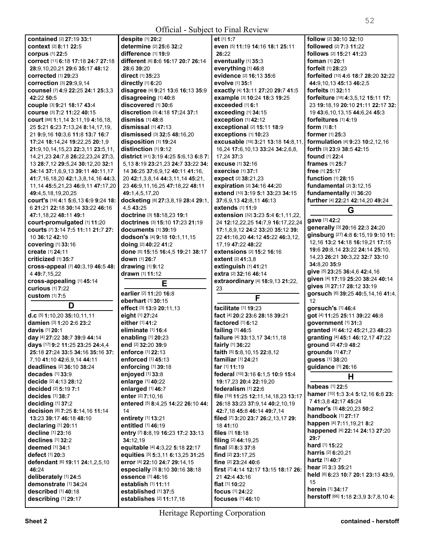|                                             | v.                 |
|---------------------------------------------|--------------------|
| <b>contained</b> [2] 27:19 33:1             | despite [1] 20:2   |
| context [2] 8:11 22:5                       | determine [2] 2    |
| corpus [1] 22:5                             | difference [1] 19  |
| correct [11] 6:18 17:18 24:7 27:18          | different [6] 8:6  |
| 28:9,10,20,21 29:6 35:17 48:12              | 28:6 39:20         |
| <b>corrected</b> [1] 29:23                  | direct [1] 35:23   |
| Correction [3] 29:9,9,14                    | directly [1] 6:20  |
| counsel [7] 4:9 22:25 24:1 25:3.3           | disagree [4] 9:2   |
| 42:22 50:5                                  | disagreeing [1]    |
| couple [3] 9:21 18:17 43:4                  | discovered [1]:    |
| course [3] 7:2 11:22 40:15                  | discretion [3] 4   |
| court [88] 1:1,14 3:11,19 4:16,18,          | dismiss [1] 48:8   |
| 25 5:21 6:23 7:13,24 8:14,17,19,            | dismissal [1] 47   |
| 21 9:9,16 10:3,6 11:8 13:7 16:7             | dismissed [3] 3    |
| 17:24 18:14,24 19:22,25 20:1,9              | disposition [1]    |
| 21:9,10,14,15,23 22:3,11 23:5,11,           | distinction [1] 9  |
| 14,21,23 24:7,8 26:22,23,24 27:3,           | district [41] 3:19 |
| 13 28:7,12 29:5,24 30:12,20 32:1            | 5,13 8:19 23:21    |
| 34:14 37:1,6,9,13 39:11 40:11,17            | 14 36:25 37:6,9    |
| 41:7, 16, 18, 20 42: 1, 3, 8, 14, 16 44: 3, | 20 42:1,3,8,14 4   |
| 11, 14 45: 5, 21, 23 46: 9, 11 47: 17, 20   | 23 46:9,11,16,2    |
| 49:4,5,18,19,20,25                          | 49:1,4,5,17,20     |
| court's [16] 4:1 5:6,13 6:9 9:24 18:        | docketing [8] 21   |
| 6 21:21 22:18 30:14 33:22 46:16             | 4.5 43:25          |
| 47:1,18,22 48:11 49:1                       | doctrine [3] 18:   |
| court-promulgated [1] 11:20                 | doctrines [3] 15   |
| courts [7] 3:14 7:5 11:11 21:7 27:          | documents [1]      |
| 10 36:12 42:10                              | dodson's [4] 9:    |
| <b>covering</b> [1] 33:16                   | doing [2] 40:22    |
| create [1] 24:11                            | done [5] 15:15 1   |
| criticized [1] 35:7                         | down [1] 26:7      |
| cross-appeal [7] 40:3,19 46:5 48:           | drawing [1] 9:12   |
| 4 49:7,15,22                                | drawn [1] 11:12    |
| cross-appealing [1] 45:14                   |                    |
| <b>curious</b> [1] 7:22                     | earlier [2] 11:20  |
| custom [1] 7:5                              | eberhart [1] 30:   |
| D                                           | effect [3] 13:9 20 |
| d.c [5] 1:10,20 35:10,11,11                 | eight [1] 27:24    |
| damien [3] 1:20 2:6 23:2                    | either [1] 41:2    |
| davis [1] 20:1                              | eliminate [1] 16   |
| day [4] 27:22 38:7 39:9 44:14               | enabling [1] 20:   |
| days [17] 9:2 11:25 23:25 24:4,4            | end [2] 32:20 39   |
| 25:18 27:24 33:5 34:16 35:16 37:            | enforce [1] 22:1   |
| 7,10 41:10 42:6,9,14 44:11                  | enforced [1] 45:   |
| deadlines [2] 36:10 38:24                   | enforcing [1] 39   |
| decades [1] 33:9                            | enjoyed [1] 33:8   |
| decide [2] 4:13 28:12                       | enlarge [1] 40:2   |
| decided [2] 5:19 7:1                        | enlarged [1] 46:   |
| decides [1] 38:7                            | enter [2] 7:10,16  |
| deciding [1] 37:2                           | entered [5] 8:4,2  |
| decision [8] 7:25 8:14,16 11:14             | 14                 |
| 13:23 39:17 46:18 48:10                     | entirety [1] 13:2  |
| declaring [1] 20:11                         | entitled [1] 46:1  |
| decline [1] 23:16                           | entry [7] 8:8,19   |
| declines $[1]$ 32:2                         | 34:12,19           |
| deemed [1] 34:1                             | equitable [4] 4:3  |

| determine [2] 25:6 32:2               | even [5] 11:19 14:16     |
|---------------------------------------|--------------------------|
| difference [1] 19:9                   | 26:22                    |
| different [6] 8:6 16:17 20:7 26:14    | eventually [1] 35:3      |
| 28:6 39:20                            | everything [1] 46:8      |
| direct [1] 35:23                      | evidence [2] 16:13       |
| directly [1] 6:20                     | evolve [1] 35:1          |
| disagree [4] 9:21 13:6 16:13 35:9     | exactly [4] 13:11 27     |
| disagreeing [1] 40:8                  | example [3] 10:24 1      |
| discovered [1] 30:6                   | exceeded [1] 6:1         |
| discretion [3] 4:18 17:24 37:1        | exceeding [1] 34:1       |
| dismiss [1] 48:8                      | exception [1] 42:12      |
| $dismissal$ [1] $47:13$               | exceptional [2] 15:      |
| dismissed [3] 32:5 48:16,20           | exceptions [1] 10:2      |
| disposition [1] 19:24                 | excusable [16] 3:21      |
| distinction [1] 9:12                  | 16,24 17:6,10,13 33      |
| district [41] 3:19 4:25 5:6.13 6:8 7: | 17,24 37:3               |
| 5,13 8:19 23:21,23 24:7 33:22 34:     | <b>excuse</b> [1] 32:16  |
| 14 36:25 37:6,9,12 40:11 41:16,       | exercise [1] 37:1        |
| 20 42:1,3,8,14 44:3,11,14 45:21,      | expect [2] 38:21,23      |
| 23 46:9,11,16,25 47:18,22 48:11       | expiration [2] 34:16     |
| 49:1,4,5,17,20                        | extend [10] 3:19 5:1     |
| docketing [8] 27:3,8,19 28:4 29:1,    | 37:6,9,13 42:8,11 4      |
| 4,5 43:25                             | extends [1] 11:9         |
| doctrine [3] 18:18,23 19:1            | extension [32] 3:23      |
| doctrines [3] 15:10 17:23 21:19       | 24 12:12,22,25 14:       |
| documents [1] 39:19                   | 17:1,8,9,12 24:2 33      |
| dodson's [4] 9:18 10:1,11,15          | 22 41:16,20 44:12 4      |
| doing [2] 40:22 41:2                  | 17,19 47:22 48:22        |
| done [5] 15:15 16:4,5 19:21 38:17     | extensions [2] 15:2      |
| down [1] 26:7                         | extent [2] 41:3,8        |
| drawing [1] 9:12                      | extinguish [1] 41:2      |
| drawn [1] 11:12                       | extra [2] 32:16 46:14    |
|                                       |                          |
|                                       | extraordinary [4] 1      |
| Е                                     | 23                       |
| earlier [2] 11:20 16:8                | F                        |
| eberhart [1] 30:15                    |                          |
| effect [3] 13:9 20:11,13              | facilitate [1] 19:23     |
| eight [1] 27:24                       | fact [4] 20:2 23:6 28    |
| either [1] 41:2                       | factored [1] 6:12        |
| eliminate [1] 16:4                    | failing [1] 46:5         |
| enabling [1] 20:23                    | failure [4] 33:13,17     |
| end [2] 32:20 39:9                    | fairly [1] 36:22         |
| enforce [1] 22:13                     | faith [5] 5:8,10,15 22   |
| enforced [1] 45:13                    | familiar [1] 24:21       |
| enforcing [1] 39:18                   | far [1] 11:19            |
| enjoyed [1] 33:8                      | federal [10] 3:16 6:1    |
| enlarge [1] 40:22                     | 19:17.23 20:4 22:19      |
| enlarged [1] 46:7                     | federalism [1] 22:6      |
| enter [2] 7:10.16                     | file [19] 11:25 12:11.   |
| entered [5] 8:4,25 14:22 26:10 44:    | 26:18 33:23 37:9,14      |
| 14                                    | 42:7.18 45:8 46:14       |
| entirety [1] 13:21                    | filed [7] 3:20 23:7 26   |
| entitled [1] 46:19                    | 1841:10                  |
| entry [7] 8:8,19 16:23 17:2 33:13     | files $[1]$ 18:18        |
| 34:12,19                              | filing [2] 44:19,25      |
| equitable [4] 4:3,22 5:18 22:17       | final [2] 8:3 37:8       |
| equities [5] 5:3,11 6:13,25 31:25     | find [2] 23:17,25        |
| error [4] 22:10 24:7 29:14,15         | fine [2] 23:24 40:6      |
| especially [3] 8:10 30:16 38:18       | first [7] 4:14 12:17 1   |
| essence [1] 46:16                     | 21 42:4 43:16            |
| <b>establish</b> [1] <b>11:11</b>     | flat [1] 10:22           |
| established [1] 37:5                  | focus [1] 24:22          |
| establishes [2] 11:17,18              | <b>focuses</b> [1] 46:10 |

**All Contracts et** [1] **1:**7 **even** [5] **11:**19 **14:**16 **18:**1 **25:**11 **26:**22 **eventually** [1] **35:**3 **everything** [1] **46:**8 **evidence** [2] **16:**13 **35:**6 **evolve** [1] **35:**1 **exactly** [4] **13:**11 **27:**20 **29:**7 **41:**5 **example** [3] **10:**24 **18:**3 **19:**25 **exceeded** [1] **6:**1 **exceeding** [1] **34:**15 **exception** [1] **42:**12 **exceptional** [2] **15:**11 **18:**9 **exceptions** [1] **10:**23 **excusable** [16] **3:**21 **13:**18 **14:**8,11, 16,24 **17:**6,10,13 **33:**24 **34:**2,6,8, 17,24 **37:**3 **excuse** [1] **32:**16 **exercise** [1] **37:**1 **expect** [2] **38:**21,23 **expiration** [2] **34:**16 **44:**20 **extend** [10] **3:**19 **5:**1 **33:**23 **34:**15 **37:**6,9,13 **42:**8,11 **46:**13 **extends** [1] **11:**9 **extension** [32] **3:**23 **5:**4 **6:**1,11,22, 24 **12:**12,22,25 **14:**7,9 **16:**17,22,24 **17:**1,8,9,12 **24:**2 **33:**20 **35:**12 **39:**  22 **41:**16,20 **44:**12 **45:**22 **46:**3,12, 17,19 **47:**22 **48:**22 **extensions** [2] **15:**2 **16:**16 **extent** [2] **41:**3,8 **extinguish** [1] **41:**21 **extra** [2] **32:**16 **46:**14 **extraordinary** [4] **18:**9,13 **21:**22, 23 **F facilitate** [1] **19:**23 **fact** [4] **20:**2 **23:**6 **28:**18 **39:**21 **factored** [1] **6:**12 **failing** [1] **46:**5 **failure** [4] **33:**13,17 **34:**11,18

**faith** [5] **5:**8,10,15 **22:**8,12 **federal** [10] **3:**16 **6:**1,5 **10:**9 **15:**4 **19:**17,23 **20:**4 **22:**19,20 **file** [19] **11:**25 **12:**11,14,18,23 **13:**17 **26:**18 **33:**23 **37:**9,14 **40:**2,10,19 **42:**7,18 **45:**8 **46:**14 **49:**7,14 **filed** [7] **3:**20 **23:**7 **26:**2,13,17 **29: first** [7] **4:**14 **12:**17 **13:**15 **18:**17 **26: fundamental** [2] **3:**12,15 **fundamentally** [1] **36:**20 **further** [4] **22:**21 **42:**14,20 **49:**24 **G gave** [1] **42:**2 **generally** [3] **20:**16 **22:**3 **24:**20 **ginsburg** [27] **4:**8 **6:**15,19 **9:**10 **11:**  12,16 **13:**2 **14:**18 **16:**19,21 **17:**15 **19:**6 **20:**8,14 **23:**22 **24:**14 **25:**10, 14,23 **26:**21 **30:**3,22 **32:**7 **33:**10 **34:**8,20 **35:**9 **give** [5] **23:**25 **36:**4,6 **42:**4,16 **given** [4] **17:**19 **25:**20 **38:**24 **40:**14 **gives** [3] **27:**17 **28:**12 **33:**19 **gorsuch** [6] **39:**25 **40:**5,14,16 **41:**4, 12 **gorsuch's** [1] **46:**4 **got** [4] **11:**25 **25:**11 **39:**22 **46:**8 **government** [1] **31:**3 **granted** [4] **44:**12 **45:**21,23 **48:**23 **granting** [4] **45:**1 **46:**12,17 **47:**22 **ground** [2] **47:**9 **48:**2 **grounds** [1] **47:**7 **guess** [1] **38:**20 **guidance** [1] **26:**16 **H habeas** [1] **22:**5 **hamer** [10] **1:**3 **3:**4 **5:**12,16 **6:**8 **23:**  7 **41:**3,8 **42:**17 **45:**24 **hamer's** [3] **48:**20,23 **50:**2 **handbook** [1] **27:**17 **happen** [4] **7:**11,19,21 **8:**2 **happened** [4] **22:**14 **24:**13 **27:**20 **29:**7 **hard** [1] **15:**22 **harris** [2] **6:**20,21 **hartz** [1] **40:**7 **hear** [2] **3:**3 **35:**21 **held** [6] **6:**23 **10:**7 **20:**1 **23:**13 **43:**9, 15 **herein** [1] **34:**17

**herstoff** [66] **1:**18 **2:**3,9 **3:**7,8,10 **4:** 

**follow** [2] **30:**10 **32:**10 **followed** [2] **7:**3 **11:**22 **follows** [2] **15:**21 **41:**23 **foman** [1] **20:**1 **forfeit** [1] **28:**23

**44:**9,10,13 **45:**13 **46:**2,5 **forfeits** [1] **32:**11

**forfeitures** [1] **4:**19 **form** [1] **8:**1 **former** [1] **25:**3

**found** [1] **22:**4 **frames** [1] **25:**7 **free** [1] **25:**17 **function** [1] **28:**15

**forfeited** [10] **4:**6 **18:**7 **28:**20 **32:**22

**forfeiture** [18] **4:**3,5,12 **15:**11 **17:**  23 **19:**18,19 **20:**10 **21:**11 **22:**17 **32:**  19 **43:**6,10,13,15 **44:**6,24 **45:**3

**formulation** [4] **9:**23 **10:**2,12,16 **forth** [3] **23:**9 **38:**5 **42:**15

**46:**24

**defect** [1] **20:**3

**deliberately** [1] **24:**5 **demonstrate** [1] **34:**24 **described** [1] **40:**18 **describing** [1] **29:**17

**defendant** [6] **19:**11 **24:**1,2,5,10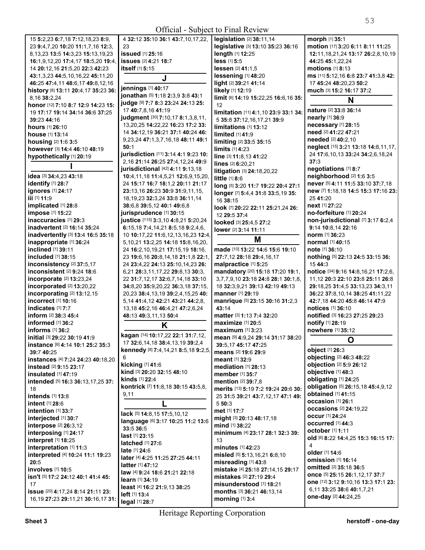| Official - Subject to Final Review        |                                             |                                      |                                          |
|-------------------------------------------|---------------------------------------------|--------------------------------------|------------------------------------------|
| 15 5:2,23 6:7,18 7:12,18,23 8:9,          | 4 32:12 35:10 36:1 43:7,10,17,22,           | legislation [2] 38:11,14             | morph [1] 35:1                           |
| 23 9:4,7,20 10:20 11:1,7,16 12:3,         | 23                                          | legislative [3] 13:10 35:23 36:16    | motion [17] 3:20 6:11 8:11 11:25         |
| 8, 13, 23 13: 5 14: 3, 23 15: 13, 19, 23  | issued [1] 25:16                            | length [1] 12:25                     | 12:11, 18, 21, 24 13:17 26: 2, 8, 10, 19 |
| 16:1,9,12,20 17:4,17 18:5,20 19:4,        | issues [2] 4:21 18:7                        | less [1] 5:5                         | 44:25 45:1,22,24                         |
| 14 20:12, 16 21:5, 20 22:3 42:23          | itself [1] 5:15                             | lessen [2] 41:1,5                    | motions $[1]$ 8:13                       |
| 43:1,3,23 44:5,10,16,22 45:11,20          |                                             | lessening [1] 48:20                  | ms [11] 5:12,16 6:8 23:7 41:3,8 42:      |
| 46:25 47:4,11 48:6,17 49:8,12,16          | J                                           | light [2] 39:21 41:14                | 17 45:24 48:20,23 50:2                   |
| history [8] 13:11 20:4,17 35:23 36:       | jennings [1] 40:17                          | likely [1] 12:19                     | much [3] 15:2 16:17 37:2                 |
| 8,16 38:2,24                              | jonathan [5] 1:18 2:3,9 3:8 43:1            | limit [6] 14:19 15:22,25 16:6,16 35: |                                          |
| honor [12] 7:10 8:7 12:9 14:23 15:        | judge [9] 7:7 8:3 23:24 24:13 25:           | 12                                   | N                                        |
| 19 17:17 19:14 34:14 36:6 37:25           | 17 40:7,8,16 41:19                          | limitation [11] 4:1,10 23:9 33:1 34: | <b>nature [2] 33:8 36:14</b>             |
| 39:23 44:16                               | judgment [30] 7:10,17 8:1,3,8,11,           | 5 35:8 37:12,16,17,21 39:9           | nearly [1] 36:9                          |
| <b>hours</b> [1] <b>26:10</b>             | 13, 20, 25 14: 22, 22 16: 23 17: 2 33:      | limitations [1] 13:12                | necessary [1] 28:15                      |
| <b>house</b> [1] <b>13:14</b>             | 14 34:12,19 36:21 37:1 40:24 46:            | limited [1] 41:9                     | need [2] 41:22 47:21                     |
| housing $[2]$ 1:6 3:5                     | 9, 23, 24 47: 1, 3, 7, 16, 18 48: 11 49: 1  | limiting [2] 33:5 35:15              | needed [2] 40:2,10                       |
| however [3] 14:4 46:10 48:19              | 50:1                                        | $\lim$ its $[1]$ 4:23                | neglect [15] 3:21 13:18 14:8,11,17,      |
| hypothetically [1] 20:19                  | jurisdiction [11] 3:14 4:1 9:23 10:         | line [3] 11:8,13 41:22               | 24 17:6, 10, 13 33: 24 34: 2, 6, 18, 24  |
|                                           | 2,16 21:14 26:25 27:4,12,24 49:9            | lines [2] 6:20,21                    | 37:3                                     |
|                                           | jurisdictional [42] 4:11 9:13,18            | litigation [3] 24:18,20,22           | negotiations [1] 8:7                     |
| idea [3] 34:4,23 43:18                    | 10:4,11,18 11:4,5,21 12:6,9,15,20,          | little [1] 8:6                       | neighborhood [2] 1:6 3:5                 |
| identify [1] 28:7                         | 24 15:17 16:7 18:1,2 20:11 21:17            | long [5] 3:20 11:7 19:22 20:4 27:1   | never [5] 4:11 11:5 33:10 37:7,18        |
| <b>ignores</b> [1] 24:17                  | 23:13,16 26:23 30:9 31:9,11,15,             | longer [7] 5:4,4 31:8 33:5,19 35:    | new [7] 1:18,18 14:5 15:3 17:16 23:      |
| iii [1] 11:9                              | 18, 19, 23 32: 3, 24 33: 8 36: 11, 14       | 16 38:15                             | 25 41:20                                 |
| implicated [1] 28:8                       | 38:6,8 39:5,12 40:1 49:6,8                  | look [7] 20:22 22:11 25:21,24 26:    | next [1] 27:22                           |
| impose [1] 15:22                          | jurisprudence [1] 30:15                     | 12 29:5 37:4                         | no-forfeiture [1] 20:24                  |
| inaccuracies [1] 29:3                     | justice [115] 3:3,10 4:8,21 5:20,24         | looked [3] 25:4,5 27:2               | non-jurisdictional [7] 3:17 6:2,4        |
| <b>inadvertent</b> [2] <b>16:14 35:24</b> | 6:15,18 7:4,14,21 8:5,18 9:2,4,6,           | lower [2] 3:14 11:11                 | 9:14 10:8,14 22:16                       |
| inadvertently [3] 13:4 16:5 35:18         | 10 10:17,22 11:6,12,13,16,23 12:4,          |                                      | norm [1] 36:23                           |
| inappropriate [1] 36:24                   | 5, 10, 21 13: 2, 25 14: 18 15: 8, 16, 20,   | M                                    | <b>normal</b> [1] 40:15                  |
| inclined [1] 39:11                        | 24 16:2, 10, 19, 21 17: 15, 19 18: 16,      | made [10] 13:22 14:6 15:6 19:10      | <b>note</b> [1] 36:10                    |
| included [1] 38:15                        | 23 19:6, 16 20:8, 14, 18 21:1, 8 22:1,      | 27:7,12 28:18 29:4,16,17             | nothing [5] 22:13 24:5 33:15 36:         |
| inconsistency [2] 37:5,17                 | 24 23:4,22 24:13 25:10,14,23 26:            | malpractice [1] 5:25                 | 15 44:3                                  |
| inconsistent [2] 9:24 18:6                | 6,21 28:3,11,17,22 29:8,13 30:3,            | mandatory [20] 15:18 17:20 19:1,     | notice [34] 9:16 14:8,16,21 17:2,6,      |
| <b>incorporate</b> [2] <b>13:23,24</b>    | 22 31:7,12,17 32:6,7,14,18 33:10            | 3,7,7,9,10 23:18 24:8 28:1 30:1,8,   | 11,12 20:3 22:10 23:8 25:11 26:8         |
| incorporated [2] 13:20,22                 | 34:8,20 35:9,20,22 36:3,18 37:15,           | 18 32:3,9,21 39:13 42:19 49:13       | 29:18,25 31:4,5 33:13,23 34:3,11         |
| incorporating [2] 13:12,15                | 20,23 38:4,13,19 39:2,4,15,25 40:           | <b>manner</b> [1] <b>29:1</b> 9      | 36:22 37:8,10,14 38:25 41:11,22          |
| incorrect [1] 10:16                       | 5, 14 41:4, 12 42: 21 43: 21 44: 2, 8,      | manrique [5] 23:15 30:16 31:2,3      | 42:7,18 44:20 45:8 46:14 47:9            |
| indicates [1] 7:7                         | 13, 18 45: 2, 16 46: 4, 21 47: 2, 6, 24     | 43:14                                | notices [1] 36:10                        |
| <b>inform</b> [2] <b>38:3 45:4</b>        | 48:13 49:3,11,13 50:4                       | matter [3] 1:13 7:4 32:20            | notified [3] 16:23 27:25 29:23           |
| informed $[1]$ 36:2                       | K                                           | maximize [1] 20:5                    | notify [1] 28:19                         |
| informs $[1]$ 36:2                        |                                             | $maximum$ [1] 3:23                   | nowhere [1] 35:12                        |
| initial [3] 29:22 30:19 41:9              | kagan [14] 10:17,22 22:1 31:7,12,           | mean [9] 4:9,24 29:14 31:17 38:20    |                                          |
| instance [6] 4:14 10:1 25:2 35:3          | 17 32:6, 14, 18 38:4, 13, 19 39:2, 4        | 39:5.17 45:17 47:25                  | Ő                                        |
| 39:7 40:25                                | kennedy [8] 7:4,14,21 8:5,18 9:2,5,         | means [2] 19:6 29:9                  | object [1] 26:3                          |
| instances [4] 7:24 24:23 40:18,20         | 6                                           | <b>meant</b> [1] 32:9                | objecting [2] 46:3 48:22                 |
| instead [2] 9:15 23:17                    | kicking [1] 41:6                            | mediation $[1]$ 28:13                | objection [2] 5:9 26:12                  |
| <b>insulated</b> [1] 47:19                | kind [3] 20:20 32:15 48:10                  | member [1] 35:7                      | objective [1] 48:3                       |
| intended [5] 16:3 36:13,17,25 37:         | <b>kinds</b> [1] 22:4                       | <b>mention</b> [2] 39:7,8            | obligating [1] 24:25                     |
| 18                                        | kontrick [7] 11:8,18 30:15 43:5,8,          | merits [13] 5:19 7:2 19:24 20:6 30:  | obligation [5] 26:15,18 45:4,9,12        |
| intends [1] 13:8                          | 9,11                                        | 25 31:5 39:21 43:7,12,17 47:1 49:    | obtained [1] 41:15                       |
| intent [1] 28:6                           |                                             | 550:3                                | occasion [1] 26:1                        |
| intention $[1]$ 33:7                      | lack [5] 14:8,15 17:5,10,12                 | met [1] 17:7                         | <b>occasions</b> [2] 24:19,22            |
| interjected [1] 30:7                      | language [6] 3:17 10:25 11:2 13:6           | might [3] 20:13 48:17,18             | <b>occur</b> [1] 24:24                   |
| interpose [2] 26:3,12                     | 33:5 36:5                                   | mind [1] 38:22                       | occurred [1] 44:3                        |
| interposing [1] 24:17                     | <b>last</b> [1] <b>23:</b> 15               | minimum [4] 23:17 28:1 32:3 39:      | october [1] 1:11                         |
| interpret [1] 18:25                       | <b>latched</b> [1] 27:6                     | 13                                   | old [6] 8:22 14:4,25 15:3 16:15 17:      |
| interpretation [1] 11:3                   | late [1] 24:6                               | minutes [1] 42:23                    | 4                                        |
| interpreted [4] 10:24 11:1 19:23          | later [4] 4:25 11:25 27:25 44:11            | misled [5] 5:13,16,21 6:8,10         | older [1] 14:6                           |
| 20:5                                      | $latter$ [1] 47:12                          | misreading [1] 43:8                  | <b>omission</b> [1] 16:14                |
| involves [1] 10:5                         | <b>law</b> [4] <b>9:24 18:6 21:21 22:18</b> | mistake [4] 25:18 27:14,15 29:17     | omitted [2] 35:18 36:5                   |
| isn't [5] 17:2 24:12 40:1 41:4 45:        | <b>learn</b> [1] 34:19                      | mistakes [2] 27:19 29:4              | once [5] 25:15 26:1,12,17 37:7           |
| 17                                        | least [4] 16:2 21:9,13 38:25                | misunderstood [1] 18:21              | one [12] 3:12 9:10,16 13:3 17:1 23:      |
| issue [20] 4:17,24 8:14 21:11 23:         | left [1] 13:4                               | months [3] 36:21 46:13,14            | 6,11 33:25 38:6 40:1,7,21                |
| 16, 19 27: 23 29: 11, 21 30: 16, 17 31:   | legal [1] 28:7                              | morning [1] 3:4                      | one-day [2] 44:24,25                     |

**legal** [1] **28:**7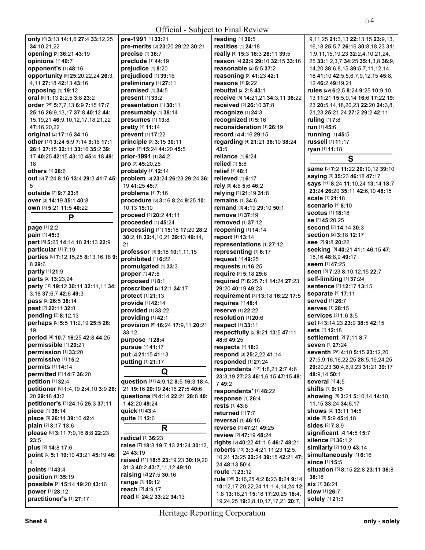| <b>Official - Subject to Final Review</b>                            |                                                                       |                                                               |                                                                            |
|----------------------------------------------------------------------|-----------------------------------------------------------------------|---------------------------------------------------------------|----------------------------------------------------------------------------|
| only [9] 3:13 14:1,6 27:4 33:12,25                                   | pre-1991 [1] 33:21                                                    | reading [1] 36:5                                              | 9, 11, 25 21: 3, 13 22: 13, 15 23: 9, 13,                                  |
| 34:10,21,22                                                          | pre-merits [3] 23:20 29:22 30:21                                      | realities [1] 24:18                                           | 16, 18 25: 5, 7 26: 16 30: 8, 18, 23 31:                                   |
| opening [2] 36:21 43:19                                              | precise [1] 36:7                                                      | really [4] 15:3 16:3 26:11 39:5                               | 1,9,11,15,19,23 32:2,4,10,21,24,                                           |
| opinions [1] 40:7                                                    | preclude [1] 44:19                                                    | reason [4] 22:9 29:10 32:15 33:16                             | 25 33:1, 2, 3, 7 34: 25 35: 1, 3, 8 36: 9,                                 |
| opponent's [1] 48:16                                                 | prejudice [1] 8:20                                                    | reasonable [2] 5:5 37:2                                       | 14,20 38:6,8,15 39:5,7,11,12,14,                                           |
| opportunity [9] 25:20,22,24 26:3,                                    | prejudiced [1] 39:16                                                  | reasoning [2] 41:23 42:1                                      | 18 41:10 42:5,5,6,7,9,12,15 45:8,                                          |
| 4,11 27:18 42:13 43:16                                               | preliminary [1] 27:11                                                 | reasons [1] 9:22                                              | 12 46:2 49:19,21                                                           |
| opposing [1] 19:12                                                   | premised [1] 34:5                                                     | rebuttal [2] 2:8 43:1                                         | rules [29] 6:2,5 8:24 9:25 10:9,10,                                        |
| oral [5] 1:13 2:2,5 3:8 23:2                                         | present [1] 33:2<br>presentation [1] 30:11                            | receive [5] 14:21,21 34:3,11 36:22<br>received [2] 26:10 37:8 | 13 11:21 15:5,9,14 16:6 17:22 19:                                          |
| order [25] 5:7,7,13 6:9 7:15 17:7<br>25:16 26:9,13,17 37:8 40:12 44: | presumably [1] 38:14                                                  | recognize [1] 24:3                                            | 23 20:5, 14, 18, 20, 23 22: 20 24: 3, 8,<br>21,23 25:21,24 27:2 29:2 42:11 |
| 15, 19, 21 46: 9, 10, 12, 17, 18, 21, 22                             | presumes [1] 13:8                                                     | recognized [1] 5:16                                           | ruling [1] 7:8                                                             |
| 47:16,20,22                                                          | pretty [1] 11:14                                                      | reconsideration [1] 26:19                                     | run [1] 45:6                                                               |
| original [2] 17:16 34:16                                             | prevent [1] 17:22                                                     | record [2] 4:16 29:15                                         | running [1] 45:5                                                           |
| other [17] 3:24 5:9 7:14 9:16 17:1                                   | principle [2] 3:15 30:11                                              | regarding [4] 21:21 36:10 38:24                               | russell [1] 11:17                                                          |
| 26:1 27:15 32:11 33:16 35:2 39:                                      | prior [3] 15:24 44:20 45:5                                            | 43:5                                                          | ryan [1] 11:18                                                             |
| 17 40:25 42:15 43:10 45:4,18 49:                                     | prior-1991 [1] 34:2                                                   | reliance [1] 6:24                                             | S                                                                          |
| 18                                                                   | pro [2] 45:20,25                                                      | <b>relied</b> [1] <b>5:8</b>                                  |                                                                            |
| others [1] 28:6                                                      | probably [1] 12:14                                                    | relief [1] 48:1                                               | same [5] 7:2 11:22 20:10,12 39:10                                          |
| Out [6] 7:24 8:16 13:4 29:3 41:7 45:                                 | problem [6] 23:24 26:23 29:24 36:                                     | relieved [1] 6:17                                             | saying [3] 35:23 46:18 47:17                                               |
| 5                                                                    | 19 41:25 45:7                                                         | rely [3] 4:6 5:6 46:2                                         | says [11] 8:24 11:10,24 13:14 18:7<br>23:24 26:20 35:11 42:6,10 48:15      |
| outside [2] 9:7 23:8                                                 | problems [1] 7:16                                                     | relying [2] 21:19 31:8                                        | scale [1] 21:18                                                            |
| <b>over</b> [3] <b>14:19 35:1 40:8</b>                               | procedure [6] 3:16 8:24 9:25 10:                                      | remains $[1]$ 34:6                                            | <b>scenario</b> [1] 8:10                                                   |
| own [3] 5:21 11:5 40:22                                              | 10.13 15:10<br>proceed [2] 20:2 41:11                                 | remand [3] 4:19 29:10 50:1                                    | <b>scotus</b> [1] <b>18:18</b>                                             |
| P                                                                    | proceeded [1] 45:24                                                   | <b>remove</b> [1] 37:19<br>removed [1] 37:12                  | se [2] 45:20,25                                                            |
| page [1] 2:2                                                         | processing [11] 15:18 17:20 28:2                                      | reopening [1] 14:14                                           | second [2] 14:14 30:3                                                      |
| pain [1] 45:3                                                        | 30:2,18 32:4,10,21 39:13 49:14,                                       | report [1] 13:14                                              | <b>section</b> [2] <b>3:18 12:17</b>                                       |
| part [5] 5:25 14:14,18 21:13 22:9                                    | 21                                                                    | representations [1] 27:12                                     | see [2] 9:8 20:22                                                          |
| particular [1] 7:19                                                  | professor [4] 9:18 10:1,11,15                                         | representing [1] 6:17                                         | Seeking [8] 40:21 41:1 46:15 47:                                           |
| parties [8] 7:12,15,25 8:13,16,18 9:                                 | prohibited [1] 6:22                                                   | request [1] 49:25                                             | 15, 16 48: 8, 9 49: 17                                                     |
| 8 29:6                                                               | promulgated [1] 33:3                                                  | requests [1] 16:25                                            | seem [1] 47:25                                                             |
| partly [1] 21:9                                                      | proper [1] 47:8                                                       | require [2] 5:18 29:6                                         | seen [5] 7:23 8:10,12,15 22:7                                              |
| parts [2] 13:23,24                                                   | proposed [1] 8:1                                                      | required [7] 6:25 7:1 14:24 27:23                             | self-limiting [1] 37:24<br>sentence [2] 12:17 13:15                        |
| party [10] 19:12 30:11 32:11,11 34:<br>3,18 37:6,7 42:6 49:3         | proscribed [2] 12:1 34:17                                             | 29:20 40:19 49:23                                             | separate [1] 17:11                                                         |
| pass [2] 26:5 38:14                                                  | <b>protect</b> [1] 21:13                                              | requirement [3] 13:18 16:22 17:5                              | served [1] 26:7                                                            |
| past [2] 22:11 32:8                                                  | provide [1] 42:14                                                     | requires [1] 48:4                                             | serves [1] 28:15                                                           |
| pending [2] 8:12,13                                                  | provided [1] 33:22<br>providing [1] 42:1                              | reserve [1] 22:22<br>resolution [1] 20:6                      | services [2] 1:6 3:5                                                       |
| perhaps [5] 5:5 11:2,19 25:5 26:                                     | provision [5] 16:24 17:9,11 20:21                                     | respect [1] 33:11                                             | set [5] 3:14,23 23:9 38:5 42:15                                            |
| 19                                                                   | 33:12                                                                 | respectfully [5] 9:21 13:5 47:11                              | sets [1] 12:18                                                             |
| period [4] 10:7 16:25 42:8 44:25                                     | purpose [1] 28:4                                                      | 48:6 49:25                                                    | <b>settlement</b> [2] 7:11 8:7                                             |
| permissible [1] 20:21                                                | pursue [1] 41:17                                                      | respects [1] 18:2                                             | seven [1] 27:24                                                            |
| permission [1] 33:20                                                 | put [2] 21:15 41:13                                                   | respond [3] 25:2,22 41:14                                     | seventh [25] 4:10 5:15 23:12,20                                            |
| permissive [1] 15:2                                                  | putting [1] 21:17                                                     | responded [1] 27:24                                           | 27:5,9,16,16,22,25 28:5,19,24,25                                           |
| permits [1] 14:14                                                    | Q                                                                     | respondents [13] 1:8,21 2:7 4:6                               | 29:20,23 30:4,6,9,23 31:21 39:17                                           |
| permitted [2] 14:7 36:20                                             |                                                                       | 23:3,19 27:23 46:1,6,15 47:15 48:                             | 48:9,14 50:1                                                               |
| petition [1] 32:4<br>petitioner [8] 1:4,19 2:4,10 3:9 26:            | question [11] 4:9,12 8:5 16:3 18:4,<br>21 19:16 20:19 24:16 27:5 40:6 | 749:2                                                         | several [1] 4:5<br><b>shifts</b> [1] 9:15                                  |
| 20 29:18 43:2                                                        | questions [6] 4:14 22:21 28:8 40:                                     | respondents' [1] 48:22                                        | showing [9] 3:21 5:10,14 14:10,                                            |
| petitioner's [3] 24:15 25:3 37:11                                    | 142:2049:24                                                           | response [1] 26:4                                             | 11.15 33:24 34:6.17                                                        |
| piece [1] 38:14                                                      | quick [1] 43:4                                                        | rests [1] 43:8<br>returned [1] 7:7                            | shows [2] 13:11 14:5                                                       |
| place [3] 26:14 39:10 42:4                                           | quite [1] 12:6                                                        | reversal [1] 46:16                                            | side [3] 5:9 45:4,18                                                       |
| plain [2] 3:17 13:6                                                  | R                                                                     | reverse [2] 47:21 49:25                                       | sides [2] 7:8,9                                                            |
| please [6] 3:11 7:9,16 8:8 22:23                                     |                                                                       | review [2] 47:19 48:24                                        | significant [2] 14:5 15:7                                                  |
| 23:5                                                                 | radical [1] 36:23                                                     | rights [5] 40:22 41:1,6 46:7 48:21                            | silence [2] 36:1,2                                                         |
| plus [2] 14:8 17:6                                                   | raise [7] 18:3 19:7,13 21:24 30:12,                                   | roberts [13] 3:3 4:21 11:23 12:5,                             | similarly [2] 10:9 43:14                                                   |
| point [5] 5:1 19:10 43:21 45:19 46:                                  | 24 43:19<br>raised [11] 18:8 23:19,23 30:19,20                        | 10,21 13:25 22:24 39:15 42:21 47:                             | simultaneously [1] 6:16                                                    |
| 4                                                                    | 31:3 40:2 43:7,11,12 49:10                                            | 24 48:13 50:4                                                 | since [1] 15:5                                                             |
| points [1] 43:4                                                      | raising [2] 27:5 30:16                                                | route [1] 23:12                                               | situation [5] 8:15 22:8 23:11 36:8                                         |
| position [1] 35:19<br>possible [3] 15:14 19:20 43:16                 | range [1] 19:12                                                       | rule [95] 3:16,25 4:2 6:23 8:24 9:14                          | 38:18<br><b>six</b> [1] 36:21                                              |
| power [1] 28:12                                                      | reach [2] 4:9,17                                                      | 10:12, 17, 20, 22, 24 11:1, 4, 14, 24 12:                     | slow [1] 26:7                                                              |
| practitioner's [1] 27:17                                             | read [3] 24:2 33:22 34:13                                             | 1,8 13:16,21 15:18 17:20,25 18:4,                             | solely [1] 21:3                                                            |
|                                                                      |                                                                       | 19,24,25 19:2,8,10,17,17,21 20:7,                             |                                                                            |